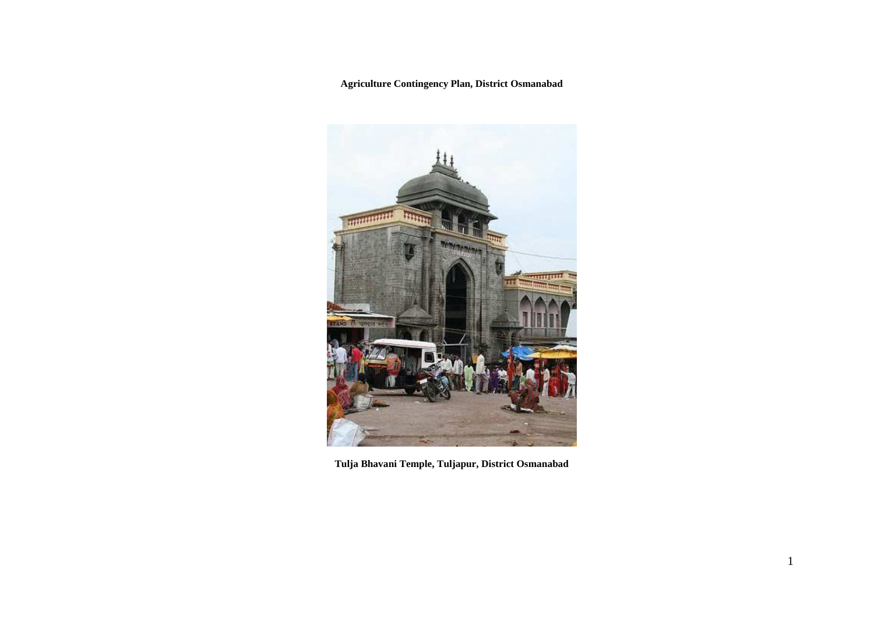**Agriculture Contingency Plan, District Osmanabad** 



**Tulja Bhavani Temple, Tuljapur, District Osmanabad**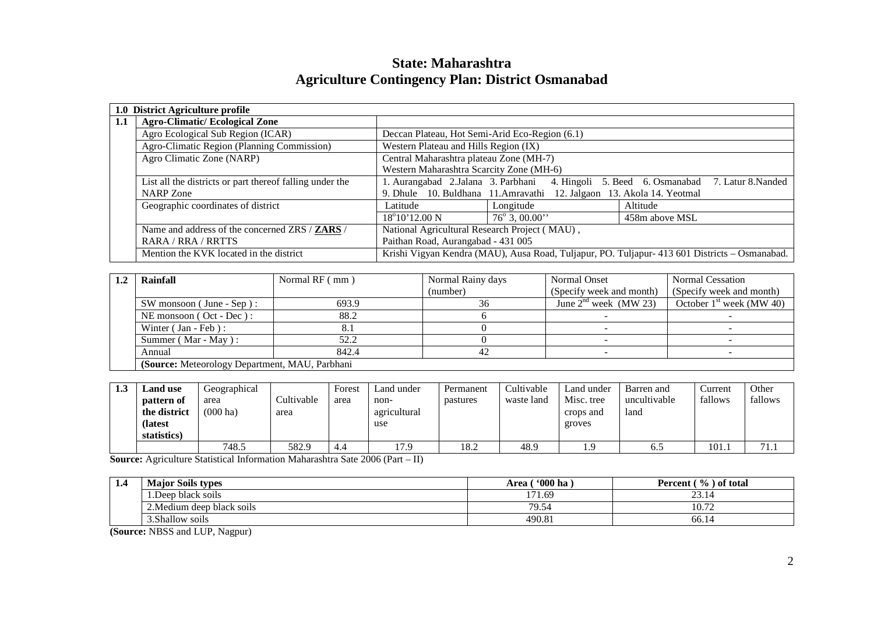|     | 1.0 District Agriculture profile                         |                                                                                         |                                                                       |                                                                                               |  |  |  |
|-----|----------------------------------------------------------|-----------------------------------------------------------------------------------------|-----------------------------------------------------------------------|-----------------------------------------------------------------------------------------------|--|--|--|
| 1.1 | <b>Agro-Climatic/Ecological Zone</b>                     |                                                                                         |                                                                       |                                                                                               |  |  |  |
|     | Agro Ecological Sub Region (ICAR)                        | Deccan Plateau, Hot Semi-Arid Eco-Region (6.1)                                          |                                                                       |                                                                                               |  |  |  |
|     | Agro-Climatic Region (Planning Commission)               | Western Plateau and Hills Region (IX)                                                   |                                                                       |                                                                                               |  |  |  |
|     | Agro Climatic Zone (NARP)                                | Central Maharashtra plateau Zone (MH-7)                                                 |                                                                       |                                                                                               |  |  |  |
|     |                                                          | Western Maharashtra Scarcity Zone (MH-6)                                                |                                                                       |                                                                                               |  |  |  |
|     | List all the districts or part thereof falling under the | 1. Aurangabad 2.Jalana 3. Parbhani 4. Hingoli 5. Beed 6. Osmanabad<br>7. Latur 8.Nanded |                                                                       |                                                                                               |  |  |  |
|     | NARP Zone                                                |                                                                                         | 9. Dhule 10. Buldhana 11. Amravathi 12. Jalgaon 13. Akola 14. Yeotmal |                                                                                               |  |  |  |
|     | Geographic coordinates of district                       | Latitude                                                                                | Longitude                                                             | Altitude                                                                                      |  |  |  |
|     |                                                          | $18^{\circ}10'12.00$ N                                                                  | $76^{\circ}$ 3, 00.00"                                                | 458m above MSL                                                                                |  |  |  |
|     | Name and address of the concerned ZRS / ZARS /           | National Agricultural Research Project (MAU),                                           |                                                                       |                                                                                               |  |  |  |
|     | RARA / RRA / RRTTS                                       | Paithan Road, Aurangabad - 431 005                                                      |                                                                       |                                                                                               |  |  |  |
|     | Mention the KVK located in the district                  |                                                                                         |                                                                       | Krishi Vigyan Kendra (MAU), Ausa Road, Tuljapur, PO. Tuljapur- 413 601 Districts – Osmanabad. |  |  |  |

# **State: Maharashtra Agriculture Contingency Plan: District Osmanabad**

| Rainfall                                        | Normal RF (mm) | Normal Rainy days | Normal Onset             | Normal Cessation           |  |  |  |  |  |
|-------------------------------------------------|----------------|-------------------|--------------------------|----------------------------|--|--|--|--|--|
|                                                 |                | (number)          | (Specify week and month) | (Specify week and month)   |  |  |  |  |  |
| SW monsoon (June - Sep):                        | 693.9          |                   | June $2nd$ week (MW 23)  | October $1st$ week (MW 40) |  |  |  |  |  |
| NE monsoon (Oct - Dec):                         | 88.2           |                   |                          |                            |  |  |  |  |  |
| Winter $( Jan - Feb)$ :                         |                |                   |                          |                            |  |  |  |  |  |
| Summer (Mar - May):                             | 52.2           |                   |                          |                            |  |  |  |  |  |
| Annual                                          | 842.4          | 42                |                          |                            |  |  |  |  |  |
| (Source: Meteorology Department, MAU, Parbhani) |                |                   |                          |                            |  |  |  |  |  |

| 1.3 | Land use     | Geographical       |            | Forest | Land under   | Permanent | Cultivable | Land under | Barren and   | Current | Other   |
|-----|--------------|--------------------|------------|--------|--------------|-----------|------------|------------|--------------|---------|---------|
|     | pattern of   | area               | Cultivable | area   | non-         | pastures  | waste land | Misc. tree | uncultivable | fallows | fallows |
|     | the district | $(000 \text{ ha})$ | area       |        | agricultural |           |            | crops and  | land         |         |         |
|     | (latest)     |                    |            |        | use          |           |            | groves     |              |         |         |
|     | statistics)  |                    |            |        |              |           |            |            |              |         |         |
|     |              | 748.5              | 582.9      | 4.4    | 17.9         | 18.2      | 48.9       | $^{1.9}$   | U.J          | 101.1   | 71.1    |

**Source:** Agriculture Statistical Information Maharashtra Sate 2006 (Part – II)

| . | <b>Major Soils types</b><br><b>B</b> T | '000 ha<br>Area | $\tau$ ( $\%$ ) of total<br>Percent ( |
|---|----------------------------------------|-----------------|---------------------------------------|
|   | $\cdot$ $\cdot$<br>1.Deep black soils  | 171.69          | $\sim$<br>- 14<br>- ۱۰ تا             |
|   | 2. Medium deep black soils             | 79.54           | $\Delta$<br>$\sim$<br>10.72           |
|   | 3. Shallow soils                       | 490.8           | 66.14                                 |

**(Source:** NBSS and LUP, Nagpur)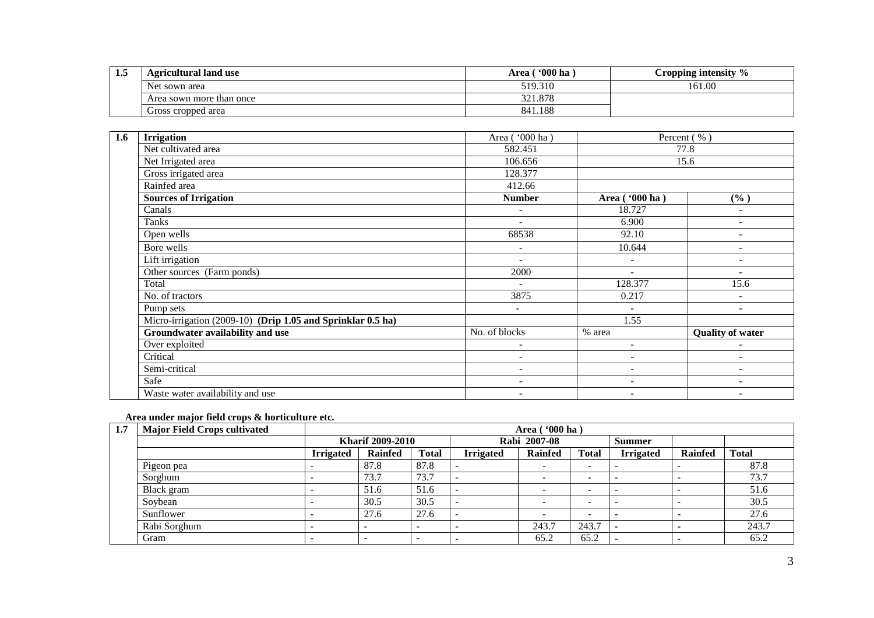| -1. | <b>Agricultural land use</b> | <b>'000 ha</b><br>Area | Cropping intensity % |
|-----|------------------------------|------------------------|----------------------|
|     | Net sown area                | 519.310                | 161.00               |
|     | Area sown more than once     | 321.878                |                      |
|     | Gross cropped area           | 841.188                |                      |

| 1.6 | <b>Irrigation</b>                                           | Area ('000 ha)           |                          | Percent (%)              |
|-----|-------------------------------------------------------------|--------------------------|--------------------------|--------------------------|
|     | Net cultivated area                                         | 582.451                  |                          | 77.8                     |
|     | Net Irrigated area                                          | 106.656                  |                          | 15.6                     |
|     | Gross irrigated area                                        | 128.377                  |                          |                          |
|     | Rainfed area                                                | 412.66                   |                          |                          |
|     | <b>Sources of Irrigation</b>                                | <b>Number</b>            | Area ('000 ha)           | (%)                      |
|     | Canals                                                      | $\sim$                   | 18.727                   | ٠                        |
|     | Tanks                                                       | $\overline{a}$           | 6.900                    |                          |
|     | Open wells                                                  | 68538                    | 92.10                    |                          |
|     | Bore wells                                                  | $\overline{\phantom{a}}$ | 10.644                   | $\overline{\phantom{0}}$ |
|     | Lift irrigation                                             | $\overline{\phantom{a}}$ | $\blacksquare$           | $\overline{\phantom{a}}$ |
|     | Other sources (Farm ponds)                                  | 2000                     | $\blacksquare$           | $\overline{\phantom{0}}$ |
|     | Total                                                       |                          | 128.377                  | 15.6                     |
|     | No. of tractors                                             | 3875                     | 0.217                    | $\blacksquare$           |
|     | Pump sets                                                   | $\overline{\phantom{a}}$ | $\sim$                   | $\overline{\phantom{a}}$ |
|     | Micro-irrigation (2009-10) (Drip 1.05 and Sprinklar 0.5 ha) |                          | 1.55                     |                          |
|     | Groundwater availability and use                            | No. of blocks            | % area                   | <b>Quality of water</b>  |
|     | Over exploited                                              | ۰                        | $\overline{\phantom{a}}$ |                          |
|     | Critical                                                    | $\overline{\phantom{a}}$ | $\overline{\phantom{a}}$ |                          |
|     | Semi-critical                                               | $\overline{\phantom{a}}$ | $\overline{\phantom{m}}$ | $\overline{\phantom{a}}$ |
|     | Safe                                                        | ۰                        | $\blacksquare$           | $\blacksquare$           |
|     | Waste water availability and use                            | $\overline{\phantom{a}}$ | $\overline{\phantom{0}}$ |                          |

## **Area under major field crops & horticulture etc.**

| 1.7 | <b>Major Field Crops cultivated</b> | Area ( '000 ha )        |                          |              |                  |                |              |                          |                |              |  |
|-----|-------------------------------------|-------------------------|--------------------------|--------------|------------------|----------------|--------------|--------------------------|----------------|--------------|--|
|     |                                     | <b>Kharif 2009-2010</b> |                          |              |                  | Rabi 2007-08   |              | <b>Summer</b>            |                |              |  |
|     |                                     | <b>Irrigated</b>        | Rainfed                  | <b>Total</b> | <b>Irrigated</b> | <b>Rainfed</b> | <b>Total</b> | <b>Irrigated</b>         | <b>Rainfed</b> | <b>Total</b> |  |
|     | Pigeon pea                          |                         | 87.8                     | 87.8         |                  | -              | -            |                          | -              | 87.8         |  |
|     | Sorghum                             |                         | 73.7                     | 73.7         |                  | -              | -            | $\overline{\phantom{a}}$ |                | 73.7         |  |
|     | Black gram                          |                         | 51.6                     | 51.6         |                  |                |              |                          |                | 51.6         |  |
|     | Soybean                             |                         | 30.5                     | 30.5         |                  |                |              |                          |                | 30.5         |  |
|     | Sunflower                           |                         | 27.6                     | 27.6         |                  |                |              |                          |                | 27.6         |  |
|     | Rabi Sorghum                        |                         | $\overline{\phantom{a}}$ | -            |                  | 243.7          | 243.7        |                          |                | 243.7        |  |
|     | Gram                                |                         | $\overline{\phantom{a}}$ | -            |                  | 65.2           | 65.2         |                          | -              | 65.2         |  |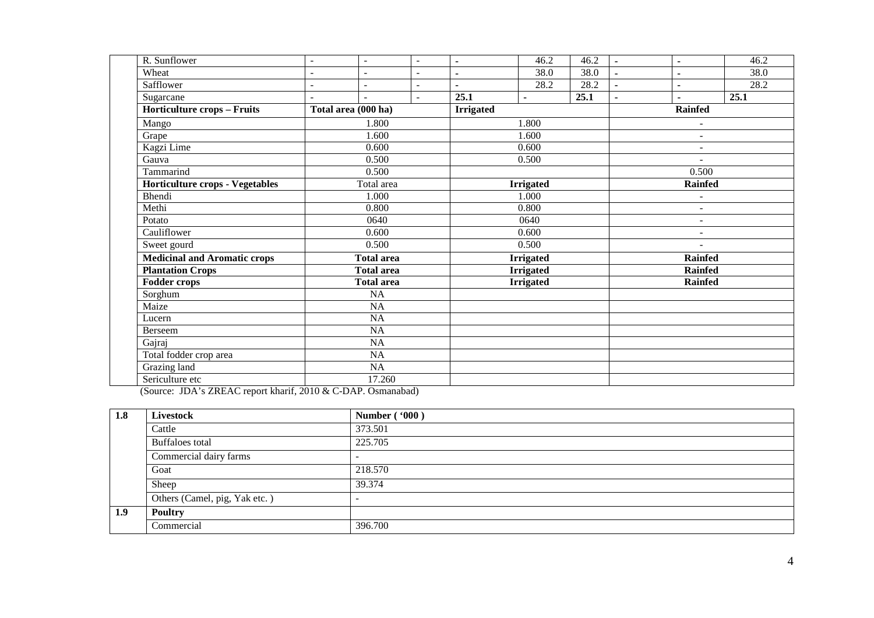| R. Sunflower                        | $\overline{\phantom{a}}$ | $\overline{a}$           | $\sim$                   | $\blacksquare$ | 46.2             | 46.2 | $\blacksquare$           | ٠                        | 46.2 |  |
|-------------------------------------|--------------------------|--------------------------|--------------------------|----------------|------------------|------|--------------------------|--------------------------|------|--|
| Wheat                               | $\overline{\phantom{a}}$ | $\overline{\phantom{a}}$ | $\overline{\phantom{a}}$ | $\blacksquare$ | 38.0             | 38.0 | ٠                        | $\blacksquare$           | 38.0 |  |
| Safflower                           |                          |                          | $\blacksquare$           |                | 28.2             | 28.2 |                          | $\blacksquare$           | 28.2 |  |
| Sugarcane                           |                          |                          | $\sim$                   | 25.1           | $\blacksquare$   | 25.1 |                          |                          | 25.1 |  |
| <b>Horticulture crops - Fruits</b>  |                          | Total area (000 ha)      |                          |                | <b>Irrigated</b> |      |                          | <b>Rainfed</b>           |      |  |
| Mango                               |                          | 1.800                    |                          |                | 1.800            |      |                          | $\overline{\phantom{a}}$ |      |  |
| Grape                               |                          | 1.600                    |                          |                | 1.600            |      |                          | $\blacksquare$           |      |  |
| Kagzi Lime                          |                          | 0.600                    |                          |                | 0.600            |      |                          | $\overline{\phantom{a}}$ |      |  |
| Gauva                               |                          | 0.500                    |                          |                | 0.500            |      |                          | $\overline{a}$           |      |  |
| Tammarind                           |                          | 0.500                    |                          |                |                  |      |                          | 0.500                    |      |  |
| Horticulture crops - Vegetables     | Total area               |                          |                          |                | <b>Irrigated</b> |      |                          | <b>Rainfed</b>           |      |  |
| Bhendi                              | 1.000                    |                          |                          |                | 1.000            |      |                          | $\overline{a}$           |      |  |
| Methi                               | 0.800                    |                          |                          |                | 0.800            |      |                          | $\blacksquare$           |      |  |
| Potato                              |                          | 0640                     |                          |                | 0640             |      |                          | $\overline{a}$           |      |  |
| Cauliflower                         |                          | 0.600                    |                          | 0.600          |                  |      | $\overline{\phantom{a}}$ |                          |      |  |
| Sweet gourd                         |                          | 0.500                    |                          |                | 0.500            |      |                          |                          |      |  |
| <b>Medicinal and Aromatic crops</b> |                          | <b>Total area</b>        |                          |                | <b>Irrigated</b> |      |                          | <b>Rainfed</b>           |      |  |
| <b>Plantation Crops</b>             |                          | <b>Total area</b>        |                          |                | <b>Irrigated</b> |      |                          | <b>Rainfed</b>           |      |  |
| <b>Fodder crops</b>                 |                          | <b>Total area</b>        |                          |                | <b>Irrigated</b> |      |                          | <b>Rainfed</b>           |      |  |
| Sorghum                             |                          | $\overline{NA}$          |                          |                |                  |      |                          |                          |      |  |
| Maize                               |                          | NA                       |                          |                |                  |      |                          |                          |      |  |
| Lucern                              |                          | $\overline{NA}$          |                          |                |                  |      |                          |                          |      |  |
| Berseem                             |                          | NA                       |                          |                |                  |      |                          |                          |      |  |
| Gajraj                              | NA                       |                          |                          |                |                  |      |                          |                          |      |  |
| Total fodder crop area              | NA                       |                          |                          |                |                  |      |                          |                          |      |  |
| Grazing land                        | NA                       |                          |                          |                |                  |      |                          |                          |      |  |
| Sericulture etc                     |                          | 17.260                   |                          |                |                  |      |                          |                          |      |  |

(Source: JDA's ZREAC report kharif, 2010 & C-DAP. Osmanabad)

| 1.8 | <b>Livestock</b>              | Number ('000) |
|-----|-------------------------------|---------------|
|     | Cattle                        | 373.501       |
|     | Buffaloes total               | 225.705       |
|     | Commercial dairy farms        |               |
|     | Goat                          | 218.570       |
|     | Sheep                         | 39.374        |
|     | Others (Camel, pig, Yak etc.) |               |
| 1.9 | <b>Poultry</b>                |               |
|     | Commercial                    | 396.700       |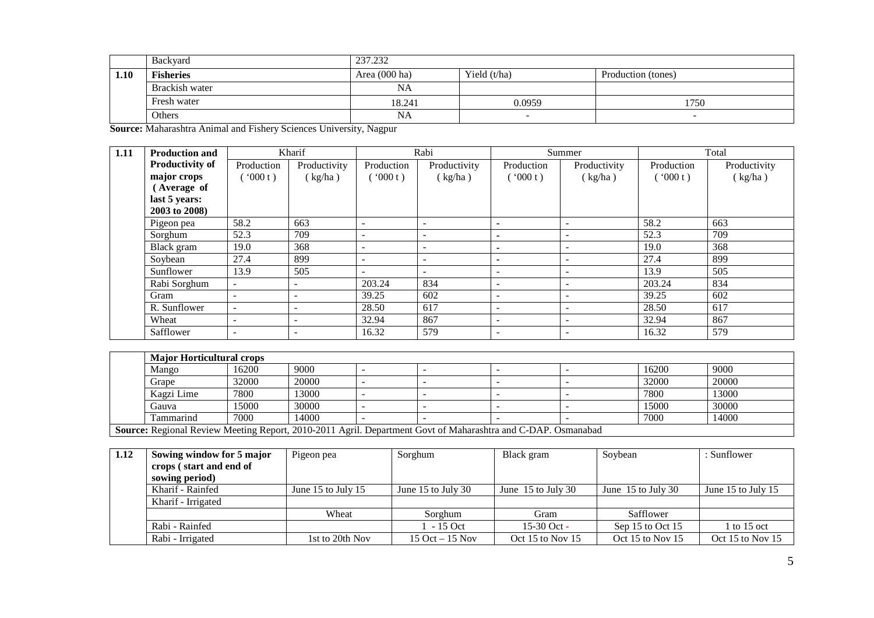|      | Backyard         | 237.232                 |                |                    |  |  |  |  |  |
|------|------------------|-------------------------|----------------|--------------------|--|--|--|--|--|
| 1.10 | <b>Fisheries</b> | Area $(000 \text{ ha})$ | Yield $(t/ha)$ | Production (tones) |  |  |  |  |  |
|      | Brackish water   | NA                      |                |                    |  |  |  |  |  |
|      | Fresh water      | 18.241                  | 0.0959         | 1750               |  |  |  |  |  |
|      | Others           | NA                      |                | -                  |  |  |  |  |  |

**Source:** Maharashtra Animal and Fishery Sciences University, Nagpur

| 1.11 | <b>Production and</b>  |                          | Kharif                   |                          | Rabi                     |                          | Summer                   |            | Total        |
|------|------------------------|--------------------------|--------------------------|--------------------------|--------------------------|--------------------------|--------------------------|------------|--------------|
|      | <b>Productivity of</b> | Production               | Productivity             | Production               | Productivity             | Production               | Productivity             | Production | Productivity |
|      | major crops            | 000 t)                   | (kg/ha)                  | (000t)                   | (kg/ha)                  | (000 t)                  | (kg/ha)                  | (000 t)    | (kg/ha)      |
|      | (Average of            |                          |                          |                          |                          |                          |                          |            |              |
|      | last 5 years:          |                          |                          |                          |                          |                          |                          |            |              |
|      | 2003 to 2008)          |                          |                          |                          |                          |                          |                          |            |              |
|      | Pigeon pea             | 58.2                     | 663                      | $\overline{\phantom{a}}$ | $\overline{\phantom{0}}$ | $\overline{\phantom{0}}$ |                          | 58.2       | 663          |
|      | Sorghum                | 52.3                     | 709                      |                          |                          | $\blacksquare$           |                          | 52.3       | 709          |
|      | Black gram             | 19.0                     | 368                      | $\overline{\phantom{0}}$ |                          | $\overline{\phantom{0}}$ |                          | 19.0       | 368          |
|      | Soybean                | 27.4                     | 899                      | $\overline{\phantom{0}}$ | $\overline{\phantom{0}}$ | $\sim$                   | $\overline{\phantom{0}}$ | 27.4       | 899          |
|      | Sunflower              | 13.9                     | 505                      | $\overline{\phantom{0}}$ | $\overline{\phantom{a}}$ | $\overline{\phantom{0}}$ | -                        | 13.9       | 505          |
|      | Rabi Sorghum           | $\overline{\phantom{a}}$ | -                        | 203.24                   | 834                      | $\overline{\phantom{0}}$ |                          | 203.24     | 834          |
|      | Gram                   | $\overline{\phantom{a}}$ | $\overline{\phantom{a}}$ | 39.25                    | 602                      | $\overline{\phantom{0}}$ | $\overline{\phantom{0}}$ | 39.25      | 602          |
|      | R. Sunflower           | -                        | ۰                        | 28.50                    | 617                      | $\overline{\phantom{0}}$ |                          | 28.50      | 617          |
|      | Wheat                  | $\overline{\phantom{a}}$ | $\overline{\phantom{0}}$ | 32.94                    | 867                      | $\overline{\phantom{0}}$ |                          | 32.94      | 867          |
|      | Safflower              | $\overline{\phantom{a}}$ | -                        | 16.32                    | 579                      | $\overline{\phantom{0}}$ |                          | 16.32      | 579          |

|  | <b>Major Horticultural crops</b>                                                                                    |       |       |  |  |  |  |       |       |  |  |
|--|---------------------------------------------------------------------------------------------------------------------|-------|-------|--|--|--|--|-------|-------|--|--|
|  | Mango                                                                                                               | 16200 | 9000  |  |  |  |  | 16200 | 9000  |  |  |
|  | Grape                                                                                                               | 32000 | 20000 |  |  |  |  | 32000 | 20000 |  |  |
|  | Kagzi Lime                                                                                                          | 7800  | 3000  |  |  |  |  | 7800  | 13000 |  |  |
|  | Gauva                                                                                                               | 15000 | 30000 |  |  |  |  | 15000 | 30000 |  |  |
|  | Tammarind                                                                                                           | 7000  | 14000 |  |  |  |  | 7000  | 14000 |  |  |
|  | <b>Source:</b> Regional Review Meeting Report, 2010-2011 Agril. Department Govt of Maharashtra and C-DAP. Osmanabad |       |       |  |  |  |  |       |       |  |  |

| 1.12 | Sowing window for 5 major | Pigeon pea         | Sorghum            | Black gram           | Soybean              | : Sunflower        |
|------|---------------------------|--------------------|--------------------|----------------------|----------------------|--------------------|
|      | crops (start and end of   |                    |                    |                      |                      |                    |
|      | sowing period)            |                    |                    |                      |                      |                    |
|      | Kharif - Rainfed          | June 15 to July 15 | June 15 to July 30 | June $15$ to July 30 | June $15$ to July 30 | June 15 to July 15 |
|      | Kharif - Irrigated        |                    |                    |                      |                      |                    |
|      |                           | Wheat              | Sorghum            | Gram                 | Safflower            |                    |
|      | Rabi - Rainfed            |                    | - 15 Oct           | $15-30$ Oct -        | Sep 15 to Oct 15     | $1$ to 15 oct      |
|      | Rabi - Irrigated          | 1st to 20th Nov    | 15 Oct $-15$ Nov   | Oct 15 to Nov 15     | Oct 15 to Nov 15     | Oct 15 to Nov 15   |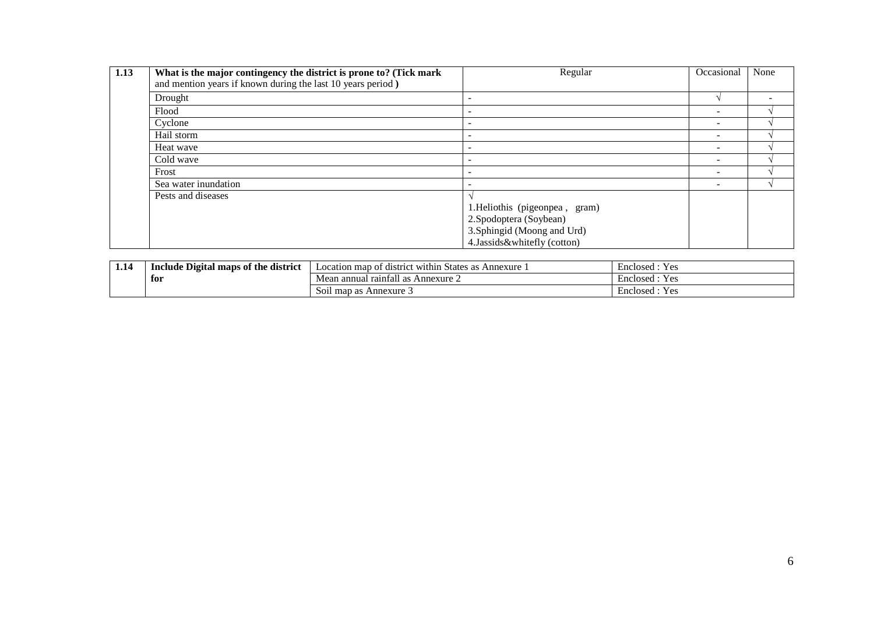| 1.13 | What is the major contingency the district is prone to? (Tick mark<br>and mention years if known during the last 10 years period) | Regular                                                                                                                    | Occasional               | None |
|------|-----------------------------------------------------------------------------------------------------------------------------------|----------------------------------------------------------------------------------------------------------------------------|--------------------------|------|
|      | Drought                                                                                                                           |                                                                                                                            |                          |      |
|      | Flood                                                                                                                             |                                                                                                                            | $\overline{\phantom{a}}$ |      |
|      | Cyclone                                                                                                                           | -                                                                                                                          |                          |      |
|      | Hail storm                                                                                                                        |                                                                                                                            | $\overline{\phantom{a}}$ |      |
|      | Heat wave                                                                                                                         |                                                                                                                            |                          |      |
|      | Cold wave                                                                                                                         |                                                                                                                            |                          |      |
|      | Frost                                                                                                                             |                                                                                                                            | $\overline{\phantom{a}}$ |      |
|      | Sea water inundation                                                                                                              |                                                                                                                            |                          |      |
|      | Pests and diseases                                                                                                                | 1. Heliothis (pigeonpea, gram)<br>2. Spodoptera (Soybean)<br>3. Sphingid (Moong and Urd)<br>4. Jassids & whitefly (cotton) |                          |      |

| 1.14 | <b>e Digital maps of the district</b><br>Include | .<br>t district within<br>Annexure<br>Location map of<br>i States as | Enclosed<br>Y es |  |
|------|--------------------------------------------------|----------------------------------------------------------------------|------------------|--|
|      | for                                              | $\rightarrow$<br>l raintall as<br>Annexure 2<br>Mean annual          | Enclosed<br>Y es |  |
|      |                                                  | Soil map as Annexure 3                                               | Enclosed<br>Y es |  |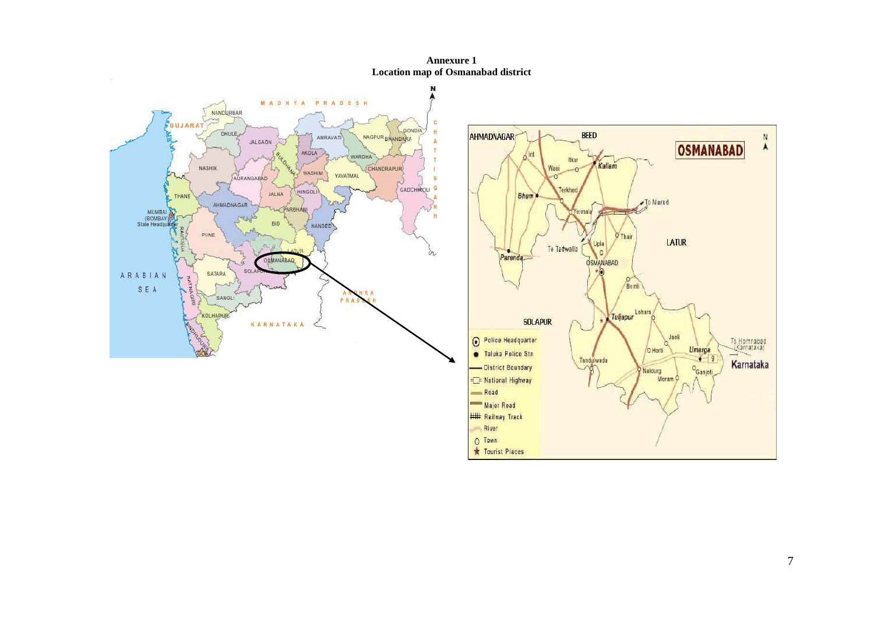**Annexure 1 Location map of Osmanabad district** 



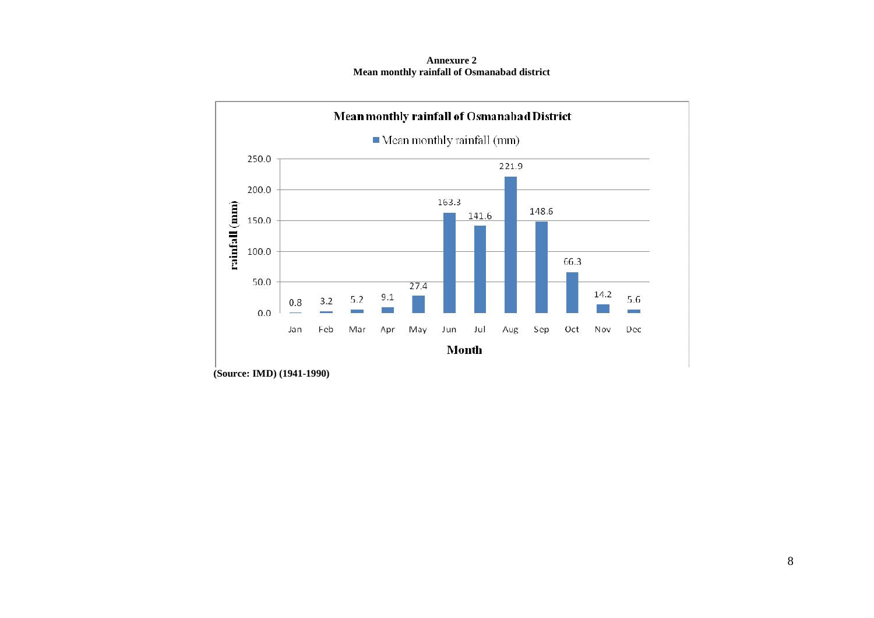**Annexure 2 Mean monthly rainfall of Osmanabad district** 



 **(Source: IMD) (1941-1990)**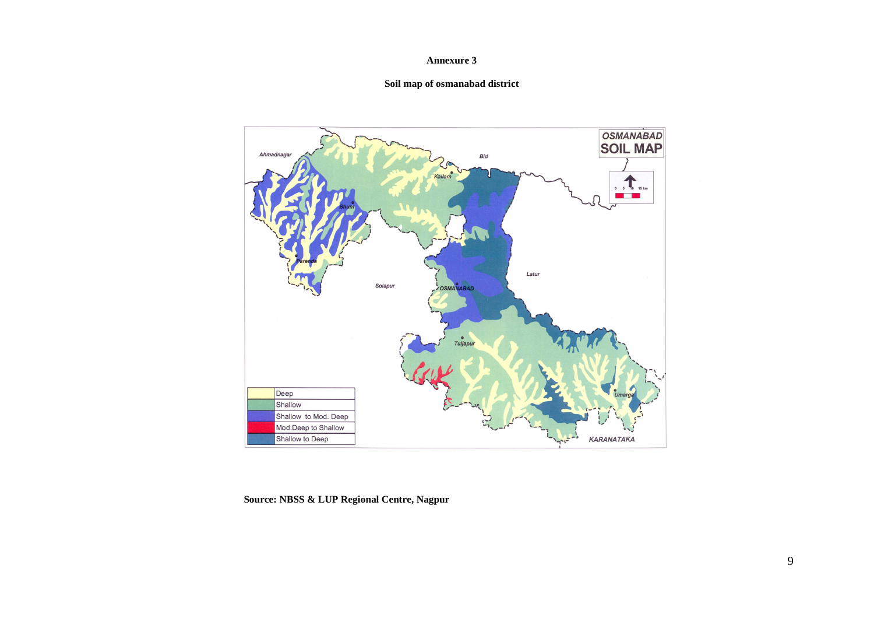#### **Annexure 3**

## **Soil map of osmanabad district**



 **Source: NBSS & LUP Regional Centre, Nagpur**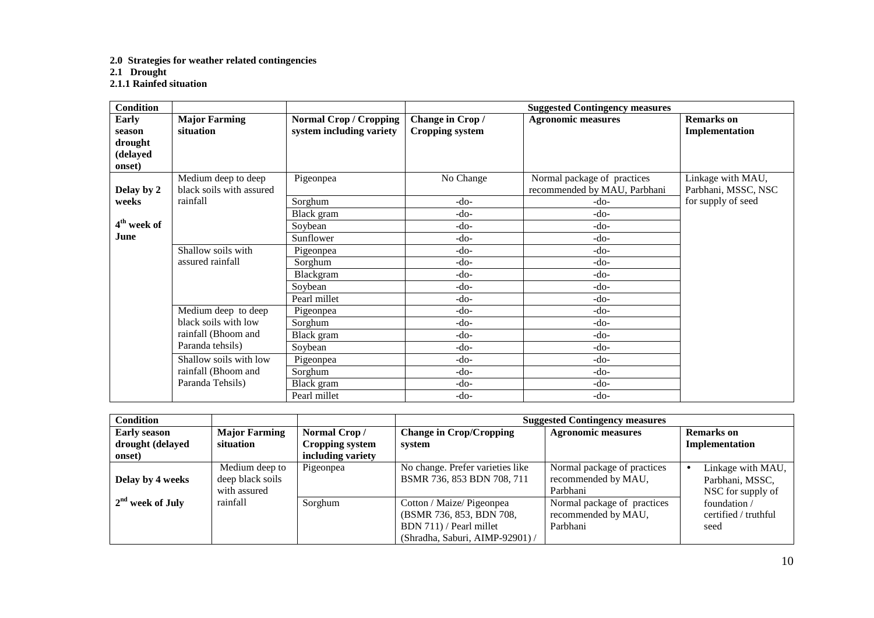## **2.0 Strategies for weather related contingencies**

**2.1 Drought 2.1.1 Rainfed situation** 

| <b>Condition</b>                                 |                                                 |                                                           | <b>Suggested Contingency measures</b>     |                                                             |                                          |  |
|--------------------------------------------------|-------------------------------------------------|-----------------------------------------------------------|-------------------------------------------|-------------------------------------------------------------|------------------------------------------|--|
| Early<br>season<br>drought<br>(delayed<br>onset) | <b>Major Farming</b><br>situation               | <b>Normal Crop / Cropping</b><br>system including variety | Change in Crop/<br><b>Cropping system</b> | <b>Agronomic measures</b>                                   | <b>Remarks</b> on<br>Implementation      |  |
| Delay by 2                                       | Medium deep to deep<br>black soils with assured | Pigeonpea                                                 | No Change                                 | Normal package of practices<br>recommended by MAU, Parbhani | Linkage with MAU,<br>Parbhani, MSSC, NSC |  |
| weeks                                            | rainfall                                        | Sorghum                                                   | $-do-$                                    | -do-                                                        | for supply of seed                       |  |
|                                                  |                                                 | Black gram                                                | $-do-$                                    | -do-                                                        |                                          |  |
| 4 <sup>th</sup> week of                          |                                                 | Soybean                                                   | $-do-$                                    | -do-                                                        |                                          |  |
| June                                             |                                                 | Sunflower                                                 | -do-                                      | -do-                                                        |                                          |  |
|                                                  | Shallow soils with                              | Pigeonpea                                                 | -do-                                      | -do-                                                        |                                          |  |
|                                                  | assured rainfall                                | Sorghum                                                   | $-do-$                                    | -do-                                                        |                                          |  |
|                                                  |                                                 | Blackgram                                                 | $-do-$                                    | -do-                                                        |                                          |  |
|                                                  |                                                 | Soybean                                                   | $-do-$                                    | $-do-$                                                      |                                          |  |
|                                                  |                                                 | Pearl millet                                              | $-do-$                                    | -do-                                                        |                                          |  |
|                                                  | Medium deep to deep                             | Pigeonpea                                                 | -do-                                      | $-do-$                                                      |                                          |  |
|                                                  | black soils with low                            | Sorghum                                                   | $-do-$                                    | $-do-$                                                      |                                          |  |
|                                                  | rainfall (Bhoom and                             | Black gram                                                | $-do-$                                    | $-do-$                                                      |                                          |  |
|                                                  | Paranda tehsils)                                | Soybean                                                   | $-do-$                                    | $-do-$                                                      |                                          |  |
|                                                  | Shallow soils with low                          | Pigeonpea                                                 | $-do-$                                    | $-do-$                                                      |                                          |  |
|                                                  | rainfall (Bhoom and                             | Sorghum                                                   | $-do-$                                    | $-do-$                                                      |                                          |  |
|                                                  | Paranda Tehsils)                                | Black gram                                                | $-do-$                                    | $-do-$                                                      |                                          |  |
|                                                  |                                                 | Pearl millet                                              | $-do-$                                    | $-do-$                                                      |                                          |  |

| Condition           |                                                    |                   | <b>Suggested Contingency measures</b>                                                                               |                                                                |                                                           |  |
|---------------------|----------------------------------------------------|-------------------|---------------------------------------------------------------------------------------------------------------------|----------------------------------------------------------------|-----------------------------------------------------------|--|
| <b>Early season</b> | <b>Major Farming</b>                               | Normal Crop/      | <b>Change in Crop/Cropping</b>                                                                                      | <b>Agronomic measures</b>                                      | <b>Remarks</b> on                                         |  |
| drought (delayed    | situation                                          | Cropping system   | system                                                                                                              |                                                                | Implementation                                            |  |
| onset)              |                                                    | including variety |                                                                                                                     |                                                                |                                                           |  |
| Delay by 4 weeks    | Medium deep to<br>deep black soils<br>with assured | Pigeonpea         | No change. Prefer varieties like<br>BSMR 736, 853 BDN 708, 711                                                      | Normal package of practices<br>recommended by MAU,<br>Parbhani | Linkage with MAU,<br>Parbhani, MSSC,<br>NSC for supply of |  |
| $2nd$ week of July  | rainfall                                           | Sorghum           | Cotton / Maize/ Pigeonpea<br>(BSMR 736, 853, BDN 708,<br>BDN 711) / Pearl millet<br>(Shradha, Saburi, AIMP-92901) / | Normal package of practices<br>recommended by MAU,<br>Parbhani | foundation/<br>certified / truthful<br>seed               |  |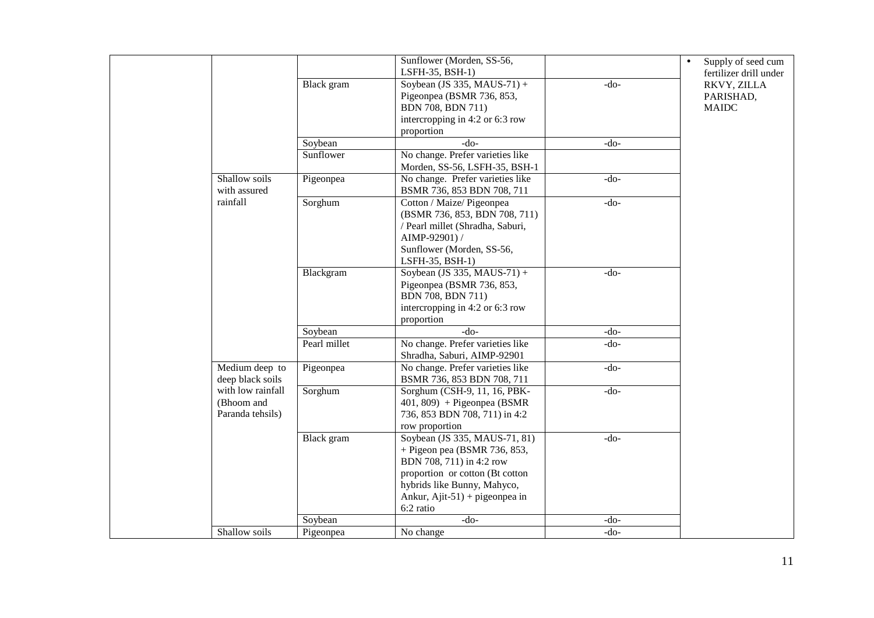|  |                                                                              | Black gram   | Sunflower (Morden, SS-56,<br>LSFH-35, BSH-1)<br>Soybean (JS 335, MAUS-71) +<br>Pigeonpea (BSMR 736, 853,<br>BDN 708, BDN 711)<br>intercropping in 4:2 or 6:3 row<br>proportion                               | $-do-$ | Supply of seed cum<br>$\bullet$<br>fertilizer drill under<br>RKVY, ZILLA<br>PARISHAD,<br><b>MAIDC</b> |
|--|------------------------------------------------------------------------------|--------------|--------------------------------------------------------------------------------------------------------------------------------------------------------------------------------------------------------------|--------|-------------------------------------------------------------------------------------------------------|
|  |                                                                              | Soybean      | $-do-$                                                                                                                                                                                                       | $-do-$ |                                                                                                       |
|  |                                                                              | Sunflower    | No change. Prefer varieties like<br>Morden, SS-56, LSFH-35, BSH-1                                                                                                                                            |        |                                                                                                       |
|  | Shallow soils<br>with assured                                                | Pigeonpea    | No change. Prefer varieties like<br>BSMR 736, 853 BDN 708, 711                                                                                                                                               | $-do-$ |                                                                                                       |
|  | rainfall                                                                     | Sorghum      | Cotton / Maize/ Pigeonpea<br>(BSMR 736, 853, BDN 708, 711)<br>/ Pearl millet (Shradha, Saburi,<br>AIMP-92901) /<br>Sunflower (Morden, SS-56,<br>LSFH-35, BSH-1)                                              | $-do-$ |                                                                                                       |
|  |                                                                              | Blackgram    | Soybean (JS 335, MAUS-71) +<br>Pigeonpea (BSMR 736, 853,<br>BDN 708, BDN 711)<br>intercropping in 4:2 or 6:3 row<br>proportion                                                                               | $-do-$ |                                                                                                       |
|  |                                                                              | Soybean      | $-do-$                                                                                                                                                                                                       | $-do-$ |                                                                                                       |
|  |                                                                              | Pearl millet | No change. Prefer varieties like<br>Shradha, Saburi, AIMP-92901                                                                                                                                              | $-do-$ |                                                                                                       |
|  | Medium deep to<br>deep black soils                                           | Pigeonpea    | No change. Prefer varieties like<br>BSMR 736, 853 BDN 708, 711                                                                                                                                               | $-do-$ |                                                                                                       |
|  | with low rainfall<br>Sorghum<br>(Bhoom and<br>Paranda tehsils)<br>Black gram |              | Sorghum (CSH-9, 11, 16, PBK-<br>$401, 809$ + Pigeonpea (BSMR<br>736, 853 BDN 708, 711) in 4:2<br>row proportion                                                                                              | $-do-$ |                                                                                                       |
|  |                                                                              |              | Soybean (JS 335, MAUS-71, 81)<br>$+$ Pigeon pea (BSMR 736, 853,<br>BDN 708, 711) in 4:2 row<br>proportion or cotton (Bt cotton<br>hybrids like Bunny, Mahyco,<br>Ankur, Ajit-51) + pigeonpea in<br>6:2 ratio | $-do-$ |                                                                                                       |
|  |                                                                              | Soybean      | $-do-$                                                                                                                                                                                                       | $-do-$ |                                                                                                       |
|  | Shallow soils                                                                | Pigeonpea    | No change                                                                                                                                                                                                    | $-do-$ |                                                                                                       |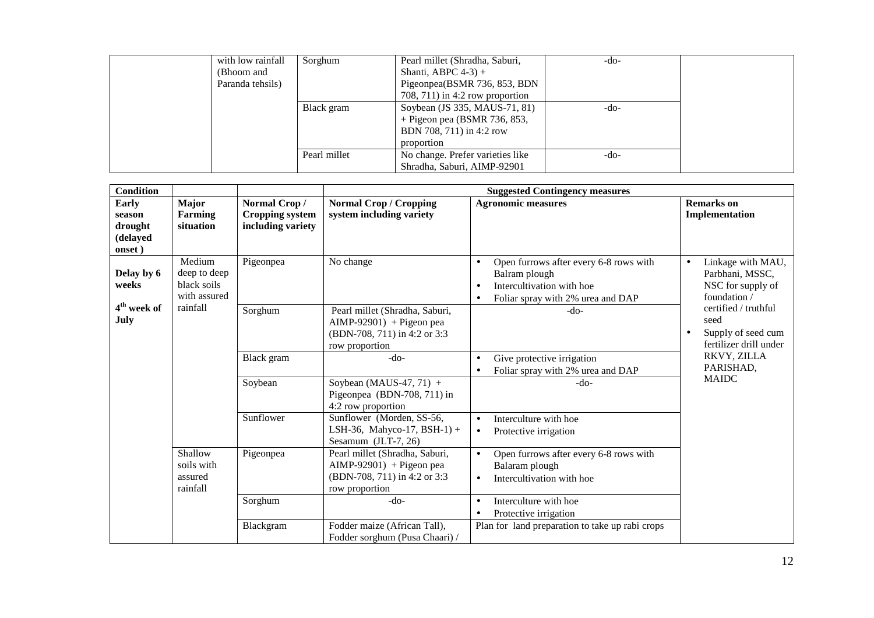| with low rainfall | Sorghum      | Pearl millet (Shradha, Saburi,     | $-do-$ |  |
|-------------------|--------------|------------------------------------|--------|--|
| (Bhoom and        |              | Shanti, ABPC $4-3$ ) +             |        |  |
| Paranda tehsils)  |              | Pigeonpea(BSMR 736, 853, BDN       |        |  |
|                   |              | $708, 711$ ) in 4:2 row proportion |        |  |
|                   | Black gram   | Soybean (JS 335, MAUS-71, 81)      | -do-   |  |
|                   |              | $+$ Pigeon pea (BSMR 736, 853,     |        |  |
|                   |              | BDN 708, 711) in 4:2 row           |        |  |
|                   |              | proportion                         |        |  |
|                   | Pearl millet | No change. Prefer varieties like   | $-do-$ |  |
|                   |              | Shradha, Saburi, AIMP-92901        |        |  |

| <b>Condition</b>                                 |                                                       |                                                             | <b>Suggested Contingency measures</b>                                                                         |                                                                                                                                                                  |                                                                                        |  |
|--------------------------------------------------|-------------------------------------------------------|-------------------------------------------------------------|---------------------------------------------------------------------------------------------------------------|------------------------------------------------------------------------------------------------------------------------------------------------------------------|----------------------------------------------------------------------------------------|--|
| Early<br>season<br>drought<br>(delayed<br>onset) | Major<br><b>Farming</b><br>situation                  | Normal Crop/<br><b>Cropping system</b><br>including variety | <b>Normal Crop / Cropping</b><br>system including variety                                                     | <b>Agronomic measures</b>                                                                                                                                        | <b>Remarks</b> on<br>Implementation                                                    |  |
| Delay by 6<br>weeks                              | Medium<br>deep to deep<br>black soils<br>with assured | Pigeonpea                                                   | No change                                                                                                     | Open furrows after every 6-8 rows with<br>$\bullet$<br>Balram plough<br>Intercultivation with hoe<br>$\bullet$<br>Foliar spray with 2% urea and DAP<br>$\bullet$ | Linkage with MAU,<br>$\bullet$<br>Parbhani, MSSC,<br>NSC for supply of<br>foundation / |  |
| 4 <sup>th</sup> week of<br>July                  | rainfall                                              | Sorghum                                                     | Pearl millet (Shradha, Saburi,<br>$AIMP-92901$ + Pigeon pea<br>(BDN-708, 711) in 4:2 or 3:3<br>row proportion | $-do-$                                                                                                                                                           | certified / truthful<br>seed<br>Supply of seed cum<br>fertilizer drill under           |  |
|                                                  |                                                       | Black gram                                                  | $-do-$                                                                                                        | Give protective irrigation<br>$\bullet$<br>Foliar spray with 2% urea and DAP<br>$\bullet$                                                                        | RKVY, ZILLA<br>PARISHAD,                                                               |  |
|                                                  |                                                       | Soybean                                                     | Soybean (MAUS-47, 71) $+$<br>Pigeonpea (BDN-708, 711) in<br>4:2 row proportion                                | -do-                                                                                                                                                             | <b>MAIDC</b>                                                                           |  |
|                                                  |                                                       |                                                             | Sunflower                                                                                                     | Sunflower (Morden, SS-56,<br>LSH-36, Mahyco-17, BSH-1) +<br>Sesamum (JLT-7, 26)                                                                                  | Interculture with hoe<br>$\bullet$<br>Protective irrigation<br>$\bullet$               |  |
|                                                  | Shallow<br>soils with<br>assured<br>rainfall          | Pigeonpea                                                   | Pearl millet (Shradha, Saburi,<br>$AIMP-92901$ + Pigeon pea<br>(BDN-708, 711) in 4:2 or 3:3<br>row proportion | Open furrows after every 6-8 rows with<br>$\bullet$<br>Balaram plough<br>Intercultivation with hoe<br>$\bullet$                                                  |                                                                                        |  |
|                                                  |                                                       | Sorghum                                                     | $-do-$                                                                                                        | Interculture with hoe<br>$\bullet$<br>Protective irrigation<br>$\bullet$                                                                                         |                                                                                        |  |
|                                                  |                                                       | Blackgram                                                   | Fodder maize (African Tall),<br>Fodder sorghum (Pusa Chaari) /                                                | Plan for land preparation to take up rabi crops                                                                                                                  |                                                                                        |  |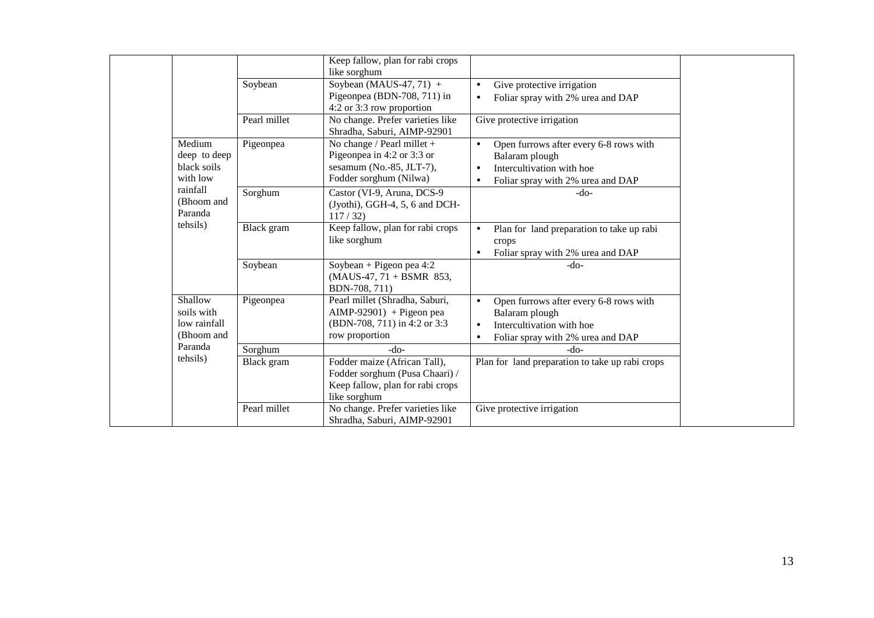|                                                     |              | Keep fallow, plan for rabi crops<br>like sorghum                                                                   |                                                                                                                                                                   |
|-----------------------------------------------------|--------------|--------------------------------------------------------------------------------------------------------------------|-------------------------------------------------------------------------------------------------------------------------------------------------------------------|
|                                                     | Soybean      | Soybean (MAUS-47, 71) $+$<br>Pigeonpea (BDN-708, 711) in<br>4:2 or 3:3 row proportion                              | Give protective irrigation<br>$\bullet$<br>Foliar spray with 2% urea and DAP<br>$\bullet$                                                                         |
|                                                     | Pearl millet | No change. Prefer varieties like<br>Shradha, Saburi, AIMP-92901                                                    | Give protective irrigation                                                                                                                                        |
| Medium<br>deep to deep<br>black soils<br>with low   | Pigeonpea    | No change / Pearl millet $+$<br>Pigeonpea in 4:2 or 3:3 or<br>sesamum (No.-85, JLT-7),<br>Fodder sorghum (Nilwa)   | Open furrows after every 6-8 rows with<br>$\bullet$<br>Balaram plough<br>Intercultivation with hoe<br>$\bullet$<br>Foliar spray with 2% urea and DAP<br>$\bullet$ |
| rainfall<br>(Bhoom and<br>Paranda                   | Sorghum      | Castor (VI-9, Aruna, DCS-9<br>(Jyothi), GGH-4, 5, 6 and DCH-<br>117/32                                             | -do-                                                                                                                                                              |
| tehsils)                                            | Black gram   | Keep fallow, plan for rabi crops<br>like sorghum                                                                   | Plan for land preparation to take up rabi<br>$\bullet$<br>crops<br>Foliar spray with 2% urea and DAP                                                              |
|                                                     | Soybean      | Soybean + Pigeon pea $4:2$<br>$(MAUS-47, 71 + BSMR 853,$<br>BDN-708, 711)                                          | $-do-$                                                                                                                                                            |
| Shallow<br>soils with<br>low rainfall<br>(Bhoom and | Pigeonpea    | Pearl millet (Shradha, Saburi,<br>$AlMP-92901$ ) + Pigeon pea<br>(BDN-708, 711) in 4:2 or 3:3<br>row proportion    | Open furrows after every 6-8 rows with<br>$\bullet$<br>Balaram plough<br>Intercultivation with hoe<br>$\bullet$<br>Foliar spray with 2% urea and DAP<br>$\bullet$ |
| Paranda                                             | Sorghum      | -do-                                                                                                               | $-do-$                                                                                                                                                            |
| tehsils)                                            | Black gram   | Fodder maize (African Tall),<br>Fodder sorghum (Pusa Chaari) /<br>Keep fallow, plan for rabi crops<br>like sorghum | Plan for land preparation to take up rabi crops                                                                                                                   |
|                                                     | Pearl millet | No change. Prefer varieties like<br>Shradha, Saburi, AIMP-92901                                                    | Give protective irrigation                                                                                                                                        |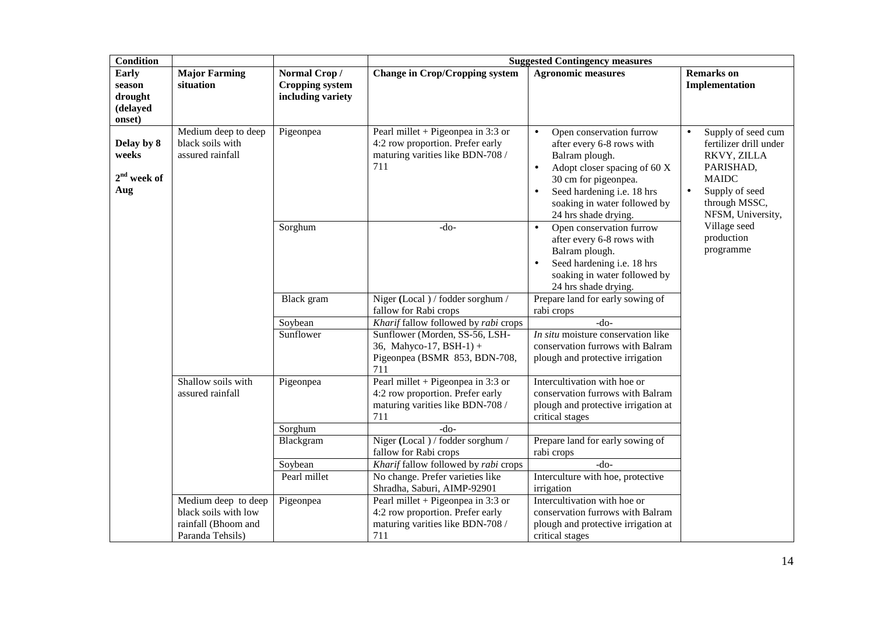| <b>Condition</b>                                 |                                                             |                                                             | <b>Suggested Contingency measures</b>                                                                             |                                                                                                                                                                                                                                                              |                                                                                                                                                               |  |
|--------------------------------------------------|-------------------------------------------------------------|-------------------------------------------------------------|-------------------------------------------------------------------------------------------------------------------|--------------------------------------------------------------------------------------------------------------------------------------------------------------------------------------------------------------------------------------------------------------|---------------------------------------------------------------------------------------------------------------------------------------------------------------|--|
| Early<br>season<br>drought<br>(delayed<br>onset) | <b>Major Farming</b><br>situation                           | Normal Crop/<br><b>Cropping system</b><br>including variety | <b>Change in Crop/Cropping system</b>                                                                             | <b>Agronomic measures</b>                                                                                                                                                                                                                                    | <b>Remarks</b> on<br>Implementation                                                                                                                           |  |
| Delay by 8<br>weeks<br>$2nd$ week of<br>Aug      | Medium deep to deep<br>black soils with<br>assured rainfall | Pigeonpea                                                   | Pearl millet + Pigeonpea in 3:3 or<br>4:2 row proportion. Prefer early<br>maturing varities like BDN-708 /<br>711 | Open conservation furrow<br>$\bullet$<br>after every 6-8 rows with<br>Balram plough.<br>Adopt closer spacing of 60 X<br>$\bullet$<br>30 cm for pigeonpea.<br>Seed hardening i.e. 18 hrs<br>$\bullet$<br>soaking in water followed by<br>24 hrs shade drying. | Supply of seed cum<br>fertilizer drill under<br>RKVY, ZILLA<br>PARISHAD,<br><b>MAIDC</b><br>Supply of seed<br>$\bullet$<br>through MSSC,<br>NFSM, University, |  |
|                                                  |                                                             | Sorghum                                                     | $-do-$                                                                                                            | Open conservation furrow<br>$\bullet$<br>after every 6-8 rows with<br>Balram plough.<br>Seed hardening i.e. 18 hrs<br>soaking in water followed by<br>24 hrs shade drying.                                                                                   | Village seed<br>production<br>programme                                                                                                                       |  |
|                                                  |                                                             | Black gram                                                  | Niger (Local) / fodder sorghum /<br>fallow for Rabi crops                                                         | Prepare land for early sowing of<br>rabi crops                                                                                                                                                                                                               |                                                                                                                                                               |  |
|                                                  |                                                             | Soybean                                                     | Kharif fallow followed by rabi crops                                                                              | $-do-$                                                                                                                                                                                                                                                       |                                                                                                                                                               |  |
|                                                  |                                                             | Sunflower                                                   | Sunflower (Morden, SS-56, LSH-<br>36, Mahyco-17, BSH-1) +<br>Pigeonpea (BSMR 853, BDN-708,<br>711                 | In situ moisture conservation like<br>conservation furrows with Balram<br>plough and protective irrigation                                                                                                                                                   |                                                                                                                                                               |  |
|                                                  | Shallow soils with<br>assured rainfall                      | Pigeonpea                                                   | Pearl millet + Pigeonpea in 3:3 or<br>4:2 row proportion. Prefer early<br>maturing varities like BDN-708 /<br>711 | Intercultivation with hoe or<br>conservation furrows with Balram<br>plough and protective irrigation at<br>critical stages                                                                                                                                   |                                                                                                                                                               |  |
|                                                  |                                                             | Sorghum                                                     | $-do-$                                                                                                            |                                                                                                                                                                                                                                                              |                                                                                                                                                               |  |
|                                                  |                                                             | Blackgram                                                   | Niger (Local) / fodder sorghum /<br>fallow for Rabi crops                                                         | Prepare land for early sowing of<br>rabi crops                                                                                                                                                                                                               |                                                                                                                                                               |  |
|                                                  |                                                             | Soybean                                                     | Kharif fallow followed by rabi crops                                                                              | $-do-$                                                                                                                                                                                                                                                       |                                                                                                                                                               |  |
|                                                  |                                                             | Pearl millet                                                | No change. Prefer varieties like                                                                                  | Interculture with hoe, protective                                                                                                                                                                                                                            |                                                                                                                                                               |  |
|                                                  |                                                             |                                                             | Shradha, Saburi, AIMP-92901                                                                                       | irrigation                                                                                                                                                                                                                                                   |                                                                                                                                                               |  |
|                                                  | Medium deep to deep                                         | Pigeonpea                                                   | Pearl millet + Pigeonpea in $3:3$ or                                                                              | Intercultivation with hoe or                                                                                                                                                                                                                                 |                                                                                                                                                               |  |
|                                                  | black soils with low                                        |                                                             | 4:2 row proportion. Prefer early                                                                                  | conservation furrows with Balram                                                                                                                                                                                                                             |                                                                                                                                                               |  |
|                                                  | rainfall (Bhoom and                                         |                                                             | maturing varities like BDN-708 /                                                                                  | plough and protective irrigation at                                                                                                                                                                                                                          |                                                                                                                                                               |  |
|                                                  | Paranda Tehsils)                                            |                                                             | 711                                                                                                               | critical stages                                                                                                                                                                                                                                              |                                                                                                                                                               |  |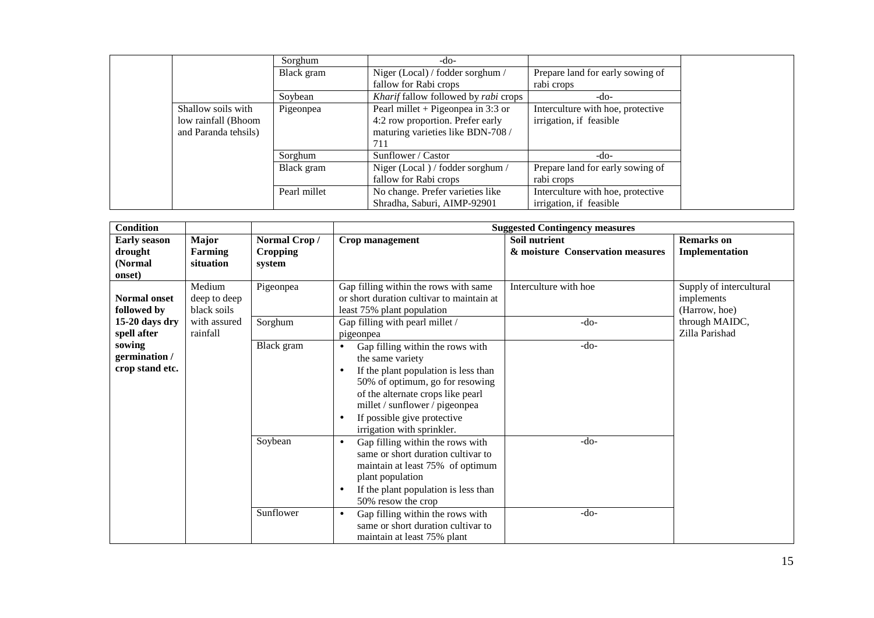|                      |              | -do-                                 |                                   |
|----------------------|--------------|--------------------------------------|-----------------------------------|
|                      | Sorghum      |                                      |                                   |
|                      | Black gram   | Niger (Local) / fodder sorghum /     | Prepare land for early sowing of  |
|                      |              | fallow for Rabi crops                | rabi crops                        |
|                      | Soybean      | Kharif fallow followed by rabi crops | -do-                              |
| Shallow soils with   | Pigeonpea    | Pearl millet + Pigeonpea in 3:3 or   | Interculture with hoe, protective |
| low rainfall (Bhoom  |              | 4:2 row proportion. Prefer early     | irrigation, if feasible           |
| and Paranda tehsils) |              | maturing varieties like BDN-708 /    |                                   |
|                      |              | 711                                  |                                   |
|                      | Sorghum      | Sunflower / Castor                   | -do-                              |
|                      | Black gram   | Niger (Local) / fodder sorghum /     | Prepare land for early sowing of  |
|                      |              | fallow for Rabi crops                | rabi crops                        |
|                      | Pearl millet | No change. Prefer varieties like     | Interculture with hoe, protective |
|                      |              | Shradha, Saburi, AIMP-92901          | irrigation, if feasible           |

| <b>Condition</b>                                    |                                       |                                           | <b>Suggested Contingency measures</b>                                                                                                                                                                                                                                                      |                                                   |                                                        |  |  |
|-----------------------------------------------------|---------------------------------------|-------------------------------------------|--------------------------------------------------------------------------------------------------------------------------------------------------------------------------------------------------------------------------------------------------------------------------------------------|---------------------------------------------------|--------------------------------------------------------|--|--|
| <b>Early season</b><br>drought<br>(Normal<br>onset) | Major<br><b>Farming</b><br>situation  | Normal Crop/<br><b>Cropping</b><br>system | Crop management                                                                                                                                                                                                                                                                            | Soil nutrient<br>& moisture Conservation measures | <b>Remarks</b> on<br>Implementation                    |  |  |
| <b>Normal onset</b><br>followed by                  | Medium<br>deep to deep<br>black soils | Pigeonpea                                 | Gap filling within the rows with same<br>or short duration cultivar to maintain at<br>least 75% plant population                                                                                                                                                                           | Interculture with hoe                             | Supply of intercultural<br>implements<br>(Harrow, hoe) |  |  |
| 15-20 days dry<br>spell after                       | with assured<br>rainfall              | Sorghum                                   | Gap filling with pearl millet /<br>pigeonpea                                                                                                                                                                                                                                               | $-do-$                                            | through MAIDC,<br>Zilla Parishad                       |  |  |
| sowing<br>germination /<br>crop stand etc.          |                                       | Black gram                                | Gap filling within the rows with<br>$\bullet$<br>the same variety<br>If the plant population is less than<br>٠<br>50% of optimum, go for resowing<br>of the alternate crops like pearl<br>millet / sunflower / pigeonpea<br>If possible give protective<br>٠<br>irrigation with sprinkler. | $-do-$                                            |                                                        |  |  |
|                                                     |                                       | Soybean                                   | Gap filling within the rows with<br>$\bullet$<br>same or short duration cultivar to<br>maintain at least 75% of optimum<br>plant population<br>If the plant population is less than<br>$\bullet$<br>50% resow the crop                                                                     | $-do-$                                            |                                                        |  |  |
|                                                     |                                       | Sunflower                                 | Gap filling within the rows with<br>$\bullet$<br>same or short duration cultivar to<br>maintain at least 75% plant                                                                                                                                                                         | $-do-$                                            |                                                        |  |  |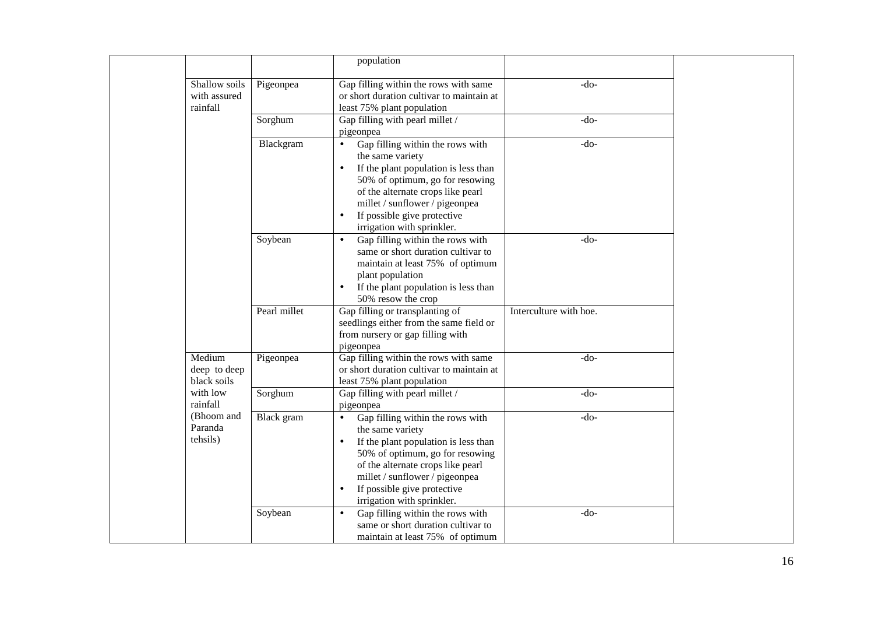|                                           |              | population                                                                                                                                                                                                                                                                                    |                        |
|-------------------------------------------|--------------|-----------------------------------------------------------------------------------------------------------------------------------------------------------------------------------------------------------------------------------------------------------------------------------------------|------------------------|
| Shallow soils<br>with assured<br>rainfall | Pigeonpea    | Gap filling within the rows with same<br>or short duration cultivar to maintain at<br>least 75% plant population                                                                                                                                                                              | $-do-$                 |
|                                           | Sorghum      | Gap filling with pearl millet /<br>pigeonpea                                                                                                                                                                                                                                                  | $-do-$                 |
|                                           | Blackgram    | Gap filling within the rows with<br>$\bullet$<br>the same variety<br>If the plant population is less than<br>$\bullet$<br>50% of optimum, go for resowing<br>of the alternate crops like pearl<br>millet / sunflower / pigeonpea<br>If possible give protective<br>irrigation with sprinkler. | $-do-$                 |
|                                           | Soybean      | Gap filling within the rows with<br>same or short duration cultivar to<br>maintain at least 75% of optimum<br>plant population<br>If the plant population is less than<br>50% resow the crop                                                                                                  | $-do-$                 |
|                                           | Pearl millet | Gap filling or transplanting of<br>seedlings either from the same field or<br>from nursery or gap filling with<br>pigeonpea                                                                                                                                                                   | Interculture with hoe. |
| Medium<br>deep to deep<br>black soils     | Pigeonpea    | Gap filling within the rows with same<br>or short duration cultivar to maintain at<br>least 75% plant population                                                                                                                                                                              | $-do-$                 |
| with low<br>rainfall                      | Sorghum      | Gap filling with pearl millet /<br>pigeonpea                                                                                                                                                                                                                                                  | $-do-$                 |
| (Bhoom and<br>Paranda<br>tehsils)         | Black gram   | Gap filling within the rows with<br>$\bullet$<br>the same variety<br>If the plant population is less than<br>50% of optimum, go for resowing<br>of the alternate crops like pearl<br>millet / sunflower / pigeonpea<br>If possible give protective<br>irrigation with sprinkler.              | $-do-$                 |
|                                           | Soybean      | Gap filling within the rows with<br>$\bullet$<br>same or short duration cultivar to<br>maintain at least 75% of optimum                                                                                                                                                                       | $-do-$                 |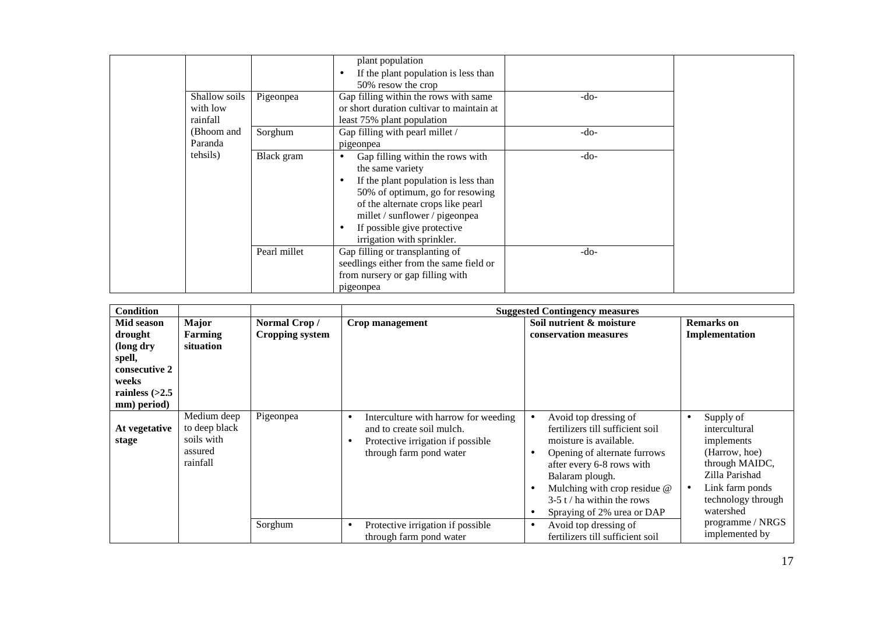| Shallow soils         | Pigeonpea    | plant population<br>If the plant population is less than<br>50% resow the crop<br>Gap filling within the rows with same                                                                                                                                             | $-do-$ |
|-----------------------|--------------|---------------------------------------------------------------------------------------------------------------------------------------------------------------------------------------------------------------------------------------------------------------------|--------|
| with low<br>rainfall  |              | or short duration cultivar to maintain at<br>least 75% plant population                                                                                                                                                                                             |        |
| (Bhoom and<br>Paranda | Sorghum      | Gap filling with pearl millet /<br>pigeonpea                                                                                                                                                                                                                        | $-do-$ |
| tehsils)              | Black gram   | Gap filling within the rows with<br>the same variety<br>If the plant population is less than<br>50% of optimum, go for resowing<br>of the alternate crops like pearl<br>millet / sunflower / pigeonpea<br>If possible give protective<br>irrigation with sprinkler. | $-do-$ |
|                       | Pearl millet | Gap filling or transplanting of<br>seedlings either from the same field or<br>from nursery or gap filling with<br>pigeonpea                                                                                                                                         | $-do-$ |

| <b>Condition</b>                                                       |                                                                   |                                        | <b>Suggested Contingency measures</b>                                                                                                               |                                                                                                                                                                                                                                                                                             |                                                                                                                                                                       |  |  |
|------------------------------------------------------------------------|-------------------------------------------------------------------|----------------------------------------|-----------------------------------------------------------------------------------------------------------------------------------------------------|---------------------------------------------------------------------------------------------------------------------------------------------------------------------------------------------------------------------------------------------------------------------------------------------|-----------------------------------------------------------------------------------------------------------------------------------------------------------------------|--|--|
| Mid season<br>drought<br>(long dry<br>spell,<br>consecutive 2<br>weeks | Major<br>Farming<br>situation                                     | Normal Crop/<br><b>Cropping system</b> | Crop management                                                                                                                                     | Soil nutrient & moisture<br>conservation measures                                                                                                                                                                                                                                           | <b>Remarks</b> on<br>Implementation                                                                                                                                   |  |  |
| rainless $(>2.5$<br>mm) period)                                        |                                                                   |                                        |                                                                                                                                                     |                                                                                                                                                                                                                                                                                             |                                                                                                                                                                       |  |  |
| At vegetative<br>stage                                                 | Medium deep<br>to deep black<br>soils with<br>assured<br>rainfall | Pigeonpea                              | Interculture with harrow for weeding<br>$\bullet$<br>and to create soil mulch.<br>Protective irrigation if possible<br>٠<br>through farm pond water | Avoid top dressing of<br>$\bullet$<br>fertilizers till sufficient soil<br>moisture is available.<br>Opening of alternate furrows<br>after every 6-8 rows with<br>Balaram plough.<br>Mulching with crop residue @<br>$3-5$ t / ha within the rows<br>Spraying of 2% urea or DAP<br>$\bullet$ | Supply of<br>٠<br>intercultural<br>implements<br>(Harrow, hoe)<br>through MAIDC,<br>Zilla Parishad<br>Link farm ponds<br>$\bullet$<br>technology through<br>watershed |  |  |
|                                                                        |                                                                   | Sorghum                                | Protective irrigation if possible<br>$\bullet$<br>through farm pond water                                                                           | Avoid top dressing of<br>$\bullet$<br>fertilizers till sufficient soil                                                                                                                                                                                                                      | programme / NRGS<br>implemented by                                                                                                                                    |  |  |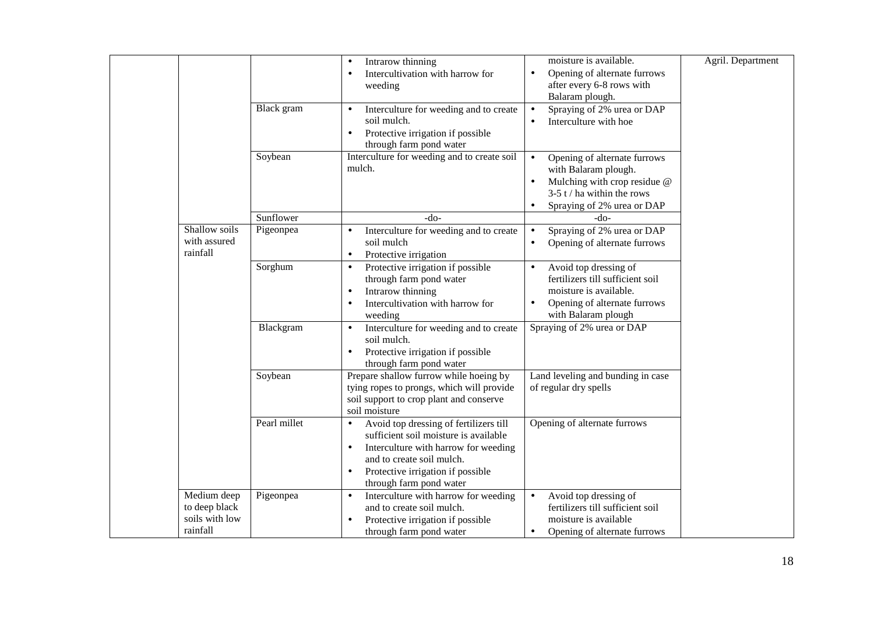|                                                            |              | Intrarow thinning<br>$\bullet$<br>Intercultivation with harrow for<br>weeding                                                                                                                                                                  | moisture is available.<br>Opening of alternate furrows<br>$\bullet$<br>after every 6-8 rows with<br>Balaram plough.                                                                       | Agril. Department |
|------------------------------------------------------------|--------------|------------------------------------------------------------------------------------------------------------------------------------------------------------------------------------------------------------------------------------------------|-------------------------------------------------------------------------------------------------------------------------------------------------------------------------------------------|-------------------|
|                                                            | Black gram   | Interculture for weeding and to create<br>$\bullet$<br>soil mulch.<br>Protective irrigation if possible<br>$\bullet$<br>through farm pond water                                                                                                | Spraying of 2% urea or DAP<br>$\bullet$<br>Interculture with hoe<br>$\bullet$                                                                                                             |                   |
|                                                            | Soybean      | Interculture for weeding and to create soil<br>mulch.                                                                                                                                                                                          | Opening of alternate furrows<br>$\bullet$<br>with Balaram plough.<br>Mulching with crop residue @<br>$\bullet$<br>$3-5$ t / ha within the rows<br>Spraying of 2% urea or DAP<br>$\bullet$ |                   |
|                                                            | Sunflower    | $-do-$                                                                                                                                                                                                                                         | -do-                                                                                                                                                                                      |                   |
| Shallow soils<br>with assured<br>rainfall                  | Pigeonpea    | Interculture for weeding and to create<br>soil mulch<br>Protective irrigation<br>$\bullet$                                                                                                                                                     | Spraying of 2% urea or DAP<br>$\bullet$<br>Opening of alternate furrows<br>$\bullet$                                                                                                      |                   |
|                                                            | Sorghum      | Protective irrigation if possible<br>$\bullet$<br>through farm pond water<br>Intrarow thinning<br>$\bullet$<br>Intercultivation with harrow for<br>weeding                                                                                     | Avoid top dressing of<br>$\bullet$<br>fertilizers till sufficient soil<br>moisture is available.<br>Opening of alternate furrows<br>with Balaram plough                                   |                   |
|                                                            | Blackgram    | Interculture for weeding and to create<br>$\bullet$<br>soil mulch.<br>Protective irrigation if possible<br>through farm pond water                                                                                                             | Spraying of 2% urea or DAP                                                                                                                                                                |                   |
|                                                            | Soybean      | Prepare shallow furrow while hoeing by<br>tying ropes to prongs, which will provide<br>soil support to crop plant and conserve<br>soil moisture                                                                                                | Land leveling and bunding in case<br>of regular dry spells                                                                                                                                |                   |
|                                                            | Pearl millet | Avoid top dressing of fertilizers till<br>sufficient soil moisture is available<br>Interculture with harrow for weeding<br>$\bullet$<br>and to create soil mulch.<br>Protective irrigation if possible<br>$\bullet$<br>through farm pond water | Opening of alternate furrows                                                                                                                                                              |                   |
| Medium deep<br>to deep black<br>soils with low<br>rainfall | Pigeonpea    | Interculture with harrow for weeding<br>$\bullet$<br>and to create soil mulch.<br>Protective irrigation if possible<br>through farm pond water                                                                                                 | $\bullet$<br>Avoid top dressing of<br>fertilizers till sufficient soil<br>moisture is available<br>Opening of alternate furrows<br>$\bullet$                                              |                   |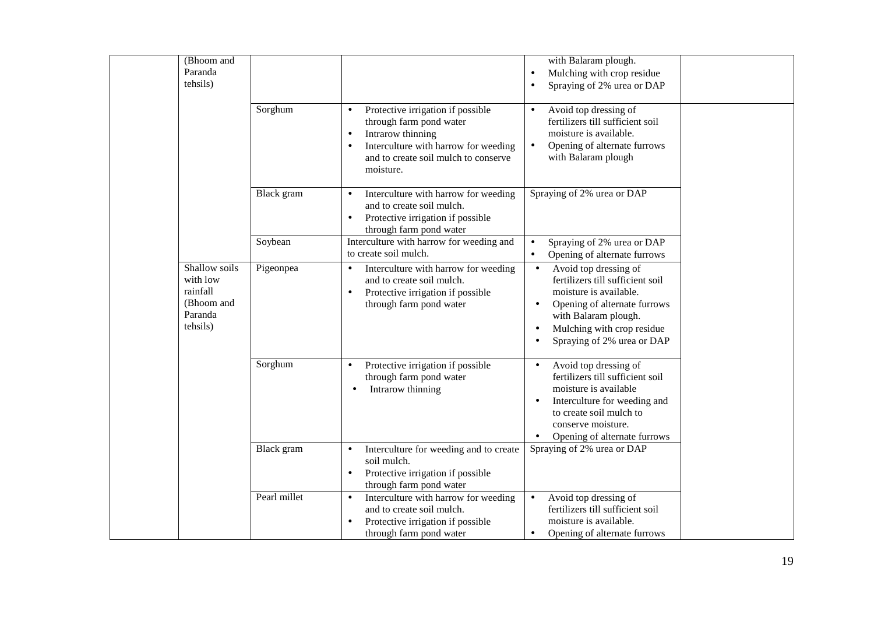| (Bhoom and<br>Paranda<br>tehsils)                                          |              |                                                                                                                                                                                                          | with Balaram plough.<br>Mulching with crop residue<br>$\bullet$<br>Spraying of 2% urea or DAP                                                                                                                                                               |  |
|----------------------------------------------------------------------------|--------------|----------------------------------------------------------------------------------------------------------------------------------------------------------------------------------------------------------|-------------------------------------------------------------------------------------------------------------------------------------------------------------------------------------------------------------------------------------------------------------|--|
|                                                                            | Sorghum      | Protective irrigation if possible<br>$\bullet$<br>through farm pond water<br>Intrarow thinning<br>$\bullet$<br>Interculture with harrow for weeding<br>and to create soil mulch to conserve<br>moisture. | Avoid top dressing of<br>$\bullet$<br>fertilizers till sufficient soil<br>moisture is available.<br>Opening of alternate furrows<br>$\bullet$<br>with Balaram plough                                                                                        |  |
|                                                                            | Black gram   | Interculture with harrow for weeding<br>$\bullet$<br>and to create soil mulch.<br>Protective irrigation if possible<br>$\bullet$<br>through farm pond water                                              | Spraying of 2% urea or DAP                                                                                                                                                                                                                                  |  |
|                                                                            | Soybean      | Interculture with harrow for weeding and<br>to create soil mulch.                                                                                                                                        | Spraying of 2% urea or DAP<br>$\bullet$<br>Opening of alternate furrows<br>$\bullet$                                                                                                                                                                        |  |
| Shallow soils<br>with low<br>rainfall<br>(Bhoom and<br>Paranda<br>tehsils) | Pigeonpea    | Interculture with harrow for weeding<br>and to create soil mulch.<br>Protective irrigation if possible<br>$\bullet$<br>through farm pond water                                                           | Avoid top dressing of<br>$\bullet$<br>fertilizers till sufficient soil<br>moisture is available.<br>Opening of alternate furrows<br>$\bullet$<br>with Balaram plough.<br>Mulching with crop residue<br>$\bullet$<br>Spraying of 2% urea or DAP<br>$\bullet$ |  |
|                                                                            | Sorghum      | Protective irrigation if possible<br>$\bullet$<br>through farm pond water<br>Intrarow thinning<br>$\bullet$                                                                                              | Avoid top dressing of<br>$\bullet$<br>fertilizers till sufficient soil<br>moisture is available<br>Interculture for weeding and<br>$\bullet$<br>to create soil mulch to<br>conserve moisture.<br>Opening of alternate furrows<br>$\bullet$                  |  |
|                                                                            | Black gram   | Interculture for weeding and to create<br>$\bullet$<br>soil mulch.<br>Protective irrigation if possible<br>$\bullet$<br>through farm pond water                                                          | Spraying of 2% urea or DAP                                                                                                                                                                                                                                  |  |
|                                                                            | Pearl millet | Interculture with harrow for weeding<br>$\bullet$<br>and to create soil mulch.<br>Protective irrigation if possible<br>through farm pond water                                                           | Avoid top dressing of<br>$\bullet$<br>fertilizers till sufficient soil<br>moisture is available.<br>Opening of alternate furrows                                                                                                                            |  |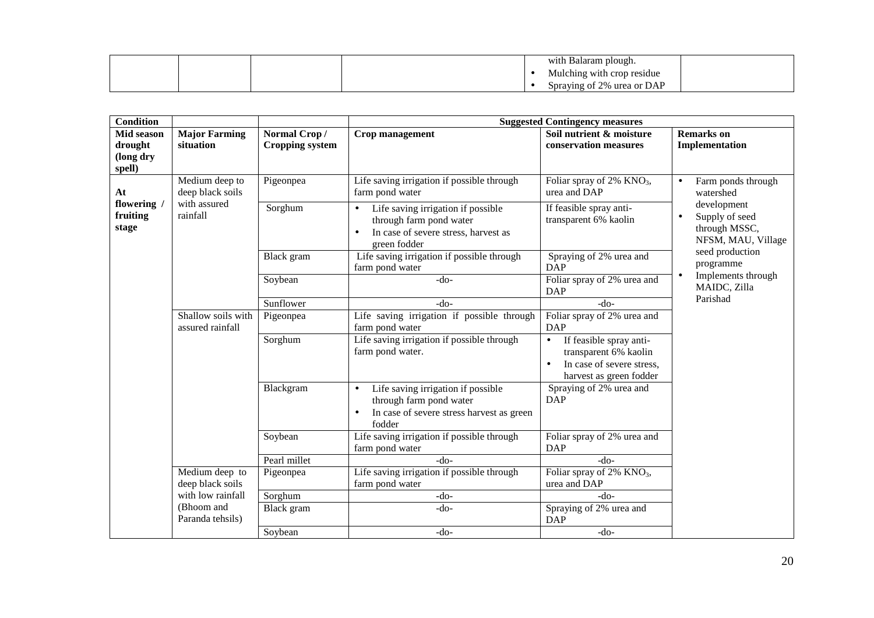|  |  | h Balaram plough.<br>With  |  |
|--|--|----------------------------|--|
|  |  | Mulching with crop residue |  |
|  |  | Spraying of 2% urea or DAP |  |

| <b>Condition</b>                             |                                        | <b>Suggested Contingency measures</b>  |                                                                                                                                    |                                                                                                                                    |                                                                                   |  |
|----------------------------------------------|----------------------------------------|----------------------------------------|------------------------------------------------------------------------------------------------------------------------------------|------------------------------------------------------------------------------------------------------------------------------------|-----------------------------------------------------------------------------------|--|
| Mid season<br>drought<br>(long dry<br>spell) | <b>Major Farming</b><br>situation      | Normal Crop/<br><b>Cropping system</b> | Crop management                                                                                                                    | Soil nutrient & moisture<br>conservation measures                                                                                  | <b>Remarks</b> on<br>Implementation                                               |  |
| At                                           | Medium deep to<br>deep black soils     | Pigeonpea                              | Life saving irrigation if possible through<br>farm pond water                                                                      | Foliar spray of $2\%$ KNO <sub>3</sub> ,<br>urea and DAP                                                                           | Farm ponds through<br>$\bullet$<br>watershed                                      |  |
| flowering /<br>fruiting<br>stage             | with assured<br>rainfall               | Sorghum                                | Life saving irrigation if possible<br>$\bullet$<br>through farm pond water<br>In case of severe stress, harvest as<br>green fodder | If feasible spray anti-<br>transparent 6% kaolin                                                                                   | development<br>Supply of seed<br>$\bullet$<br>through MSSC,<br>NFSM, MAU, Village |  |
|                                              |                                        | Black gram                             | Life saving irrigation if possible through<br>farm pond water                                                                      | Spraying of 2% urea and<br><b>DAP</b>                                                                                              | seed production<br>programme                                                      |  |
|                                              |                                        | Soybean                                | $-do-$                                                                                                                             | Foliar spray of 2% urea and<br><b>DAP</b>                                                                                          | Implements through<br>$\bullet$<br>MAIDC, Zilla<br>Parishad                       |  |
|                                              |                                        | Sunflower                              | $-do-$                                                                                                                             | $-do-$                                                                                                                             |                                                                                   |  |
|                                              | Shallow soils with<br>assured rainfall | Pigeonpea                              | Life saving irrigation if possible through<br>farm pond water                                                                      | Foliar spray of 2% urea and<br><b>DAP</b>                                                                                          |                                                                                   |  |
|                                              |                                        | Sorghum                                | Life saving irrigation if possible through<br>farm pond water.                                                                     | If feasible spray anti-<br>$\bullet$<br>transparent 6% kaolin<br>In case of severe stress,<br>$\bullet$<br>harvest as green fodder |                                                                                   |  |
|                                              |                                        | Blackgram                              | Life saving irrigation if possible<br>$\bullet$<br>through farm pond water<br>In case of severe stress harvest as green<br>fodder  | Spraying of 2% urea and<br><b>DAP</b>                                                                                              |                                                                                   |  |
|                                              |                                        | Soybean                                | Life saving irrigation if possible through<br>farm pond water                                                                      | Foliar spray of 2% urea and<br><b>DAP</b>                                                                                          |                                                                                   |  |
|                                              |                                        | Pearl millet                           | $-do-$                                                                                                                             | $-do-$                                                                                                                             |                                                                                   |  |
|                                              | Medium deep to<br>deep black soils     | Pigeonpea                              | Life saving irrigation if possible through<br>farm pond water                                                                      | Foliar spray of 2% $KNO3$ ,<br>urea and DAP                                                                                        |                                                                                   |  |
|                                              | with low rainfall                      | Sorghum                                | $-do-$                                                                                                                             | $-do-$                                                                                                                             |                                                                                   |  |
|                                              | (Bhoom and<br>Paranda tehsils)         | Black gram                             | $-do-$                                                                                                                             | Spraying of 2% urea and<br><b>DAP</b>                                                                                              |                                                                                   |  |
|                                              |                                        | Soybean                                | $-do-$                                                                                                                             | $-do-$                                                                                                                             |                                                                                   |  |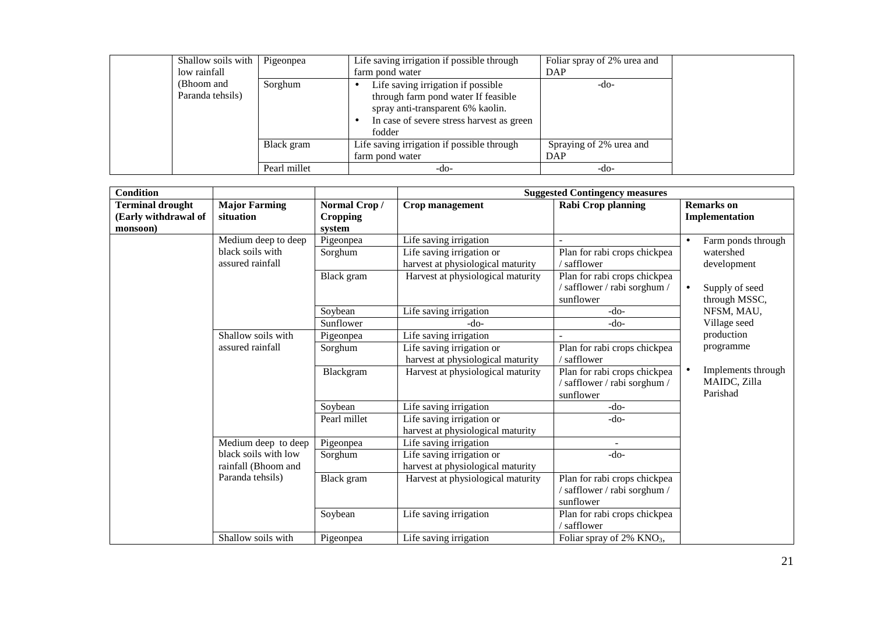| Shallow soils with<br>low rainfall | Pigeonpea    | Life saving irrigation if possible through<br>farm pond water                                                                                                         | Foliar spray of 2% urea and<br>DAP |
|------------------------------------|--------------|-----------------------------------------------------------------------------------------------------------------------------------------------------------------------|------------------------------------|
| (Bhoom and<br>Paranda tehsils)     | Sorghum      | Life saving irrigation if possible<br>through farm pond water If feasible<br>spray anti-transparent 6% kaolin.<br>In case of severe stress harvest as green<br>fodder | $-do-$                             |
|                                    | Black gram   | Life saving irrigation if possible through<br>farm pond water                                                                                                         | Spraying of 2% urea and<br>DAP     |
|                                    | Pearl millet | -do-                                                                                                                                                                  | $-do-$                             |

| <b>Condition</b>        |                                             |                     | <b>Suggested Contingency measures</b>                          |                                                                           |                                                |  |
|-------------------------|---------------------------------------------|---------------------|----------------------------------------------------------------|---------------------------------------------------------------------------|------------------------------------------------|--|
| <b>Terminal drought</b> | <b>Major Farming</b>                        | Normal Crop/        | Crop management                                                | Rabi Crop planning                                                        | <b>Remarks</b> on                              |  |
| (Early withdrawal of    | situation                                   | Cropping            |                                                                |                                                                           | Implementation                                 |  |
| monsoon)                | Medium deep to deep                         | system<br>Pigeonpea | Life saving irrigation                                         |                                                                           | Farm ponds through                             |  |
|                         | black soils with<br>assured rainfall        | Sorghum             | Life saving irrigation or<br>harvest at physiological maturity | Plan for rabi crops chickpea<br>$/$ safflower                             | watershed<br>development                       |  |
|                         |                                             | Black gram          | Harvest at physiological maturity                              | Plan for rabi crops chickpea<br>/ safflower / rabi sorghum /<br>sunflower | Supply of seed<br>$\bullet$<br>through MSSC,   |  |
|                         |                                             | Soybean             | Life saving irrigation                                         | $-do-$                                                                    | NFSM, MAU,                                     |  |
|                         |                                             | Sunflower           | -do-                                                           | $-do-$                                                                    | Village seed                                   |  |
|                         | Shallow soils with                          | Pigeonpea           | Life saving irrigation                                         |                                                                           | production                                     |  |
|                         | assured rainfall                            | Sorghum             | Life saving irrigation or<br>harvest at physiological maturity | Plan for rabi crops chickpea<br>/ safflower                               | programme                                      |  |
|                         |                                             | Blackgram           | Harvest at physiological maturity                              | Plan for rabi crops chickpea<br>/ safflower / rabi sorghum /<br>sunflower | Implements through<br>MAIDC, Zilla<br>Parishad |  |
|                         |                                             | Soybean             | Life saving irrigation                                         | $-do-$                                                                    |                                                |  |
|                         |                                             | Pearl millet        | Life saving irrigation or<br>harvest at physiological maturity | $-do-$                                                                    |                                                |  |
|                         | Medium deep to deep                         | Pigeonpea           | Life saving irrigation                                         |                                                                           |                                                |  |
|                         | black soils with low<br>rainfall (Bhoom and | Sorghum             | Life saving irrigation or<br>harvest at physiological maturity | $-do-$                                                                    |                                                |  |
|                         | Paranda tehsils)                            | Black gram          | Harvest at physiological maturity                              | Plan for rabi crops chickpea<br>/safflower/rabi sorghum/<br>sunflower     |                                                |  |
|                         |                                             | Soybean             | Life saving irrigation                                         | Plan for rabi crops chickpea<br>/ safflower                               |                                                |  |
|                         | Shallow soils with                          | Pigeonpea           | Life saving irrigation                                         | Foliar spray of $2\%$ KNO <sub>3</sub> ,                                  |                                                |  |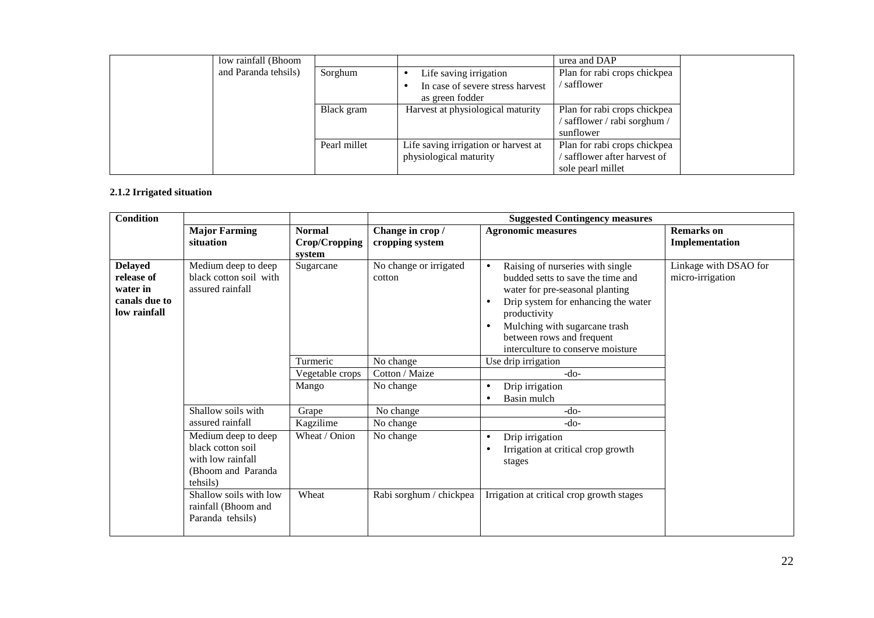| low rainfall (Bhoom  |              |                                      | urea and DAP                 |  |
|----------------------|--------------|--------------------------------------|------------------------------|--|
| and Paranda tehsils) | Sorghum      | Life saving irrigation               | Plan for rabi crops chickpea |  |
|                      |              | In case of severe stress harvest     | ' safflower                  |  |
|                      |              | as green fodder                      |                              |  |
|                      | Black gram   | Harvest at physiological maturity    | Plan for rabi crops chickpea |  |
|                      |              |                                      | safflower / rabi sorghum /   |  |
|                      |              |                                      | sunflower                    |  |
|                      | Pearl millet | Life saving irrigation or harvest at | Plan for rabi crops chickpea |  |
|                      |              | physiological maturity               | safflower after harvest of   |  |
|                      |              |                                      | sole pearl millet            |  |

## **2.1.2 Irrigated situation**

| <b>Condition</b>                                                          |                                                                                                                                                                      |                                          | <b>Suggested Contingency measures</b> |                                                                                                                                                                                                                                                                                                           |                                           |  |  |
|---------------------------------------------------------------------------|----------------------------------------------------------------------------------------------------------------------------------------------------------------------|------------------------------------------|---------------------------------------|-----------------------------------------------------------------------------------------------------------------------------------------------------------------------------------------------------------------------------------------------------------------------------------------------------------|-------------------------------------------|--|--|
|                                                                           | <b>Major Farming</b><br>situation                                                                                                                                    | <b>Normal</b><br>Crop/Cropping<br>system | Change in crop/<br>cropping system    | <b>Agronomic measures</b>                                                                                                                                                                                                                                                                                 | <b>Remarks</b> on<br>Implementation       |  |  |
| <b>Delayed</b><br>release of<br>water in<br>canals due to<br>low rainfall | Medium deep to deep<br>black cotton soil with<br>assured rainfall                                                                                                    | Sugarcane                                | No change or irrigated<br>cotton      | Raising of nurseries with single<br>$\bullet$<br>budded setts to save the time and<br>water for pre-seasonal planting<br>Drip system for enhancing the water<br>$\bullet$<br>productivity<br>Mulching with sugarcane trash<br>$\bullet$<br>between rows and frequent<br>interculture to conserve moisture | Linkage with DSAO for<br>micro-irrigation |  |  |
|                                                                           |                                                                                                                                                                      | Turmeric                                 | No change                             | Use drip irrigation                                                                                                                                                                                                                                                                                       |                                           |  |  |
|                                                                           |                                                                                                                                                                      | Vegetable crops                          | Cotton / Maize                        | $-do-$                                                                                                                                                                                                                                                                                                    |                                           |  |  |
|                                                                           |                                                                                                                                                                      | Mango                                    | No change                             | Drip irrigation<br>$\bullet$<br>Basin mulch<br>$\bullet$                                                                                                                                                                                                                                                  |                                           |  |  |
|                                                                           | Shallow soils with                                                                                                                                                   | Grape                                    | No change                             | $-do-$                                                                                                                                                                                                                                                                                                    |                                           |  |  |
|                                                                           | assured rainfall                                                                                                                                                     | Kagzilime                                | No change                             | $-do-$                                                                                                                                                                                                                                                                                                    |                                           |  |  |
|                                                                           | Medium deep to deep<br>black cotton soil<br>with low rainfall<br>(Bhoom and Paranda<br>tehsils)<br>Shallow soils with low<br>rainfall (Bhoom and<br>Paranda tehsils) | Wheat / Onion<br>Wheat                   | No change<br>Rabi sorghum / chickpea  | Drip irrigation<br>$\bullet$<br>Irrigation at critical crop growth<br>stages<br>Irrigation at critical crop growth stages                                                                                                                                                                                 |                                           |  |  |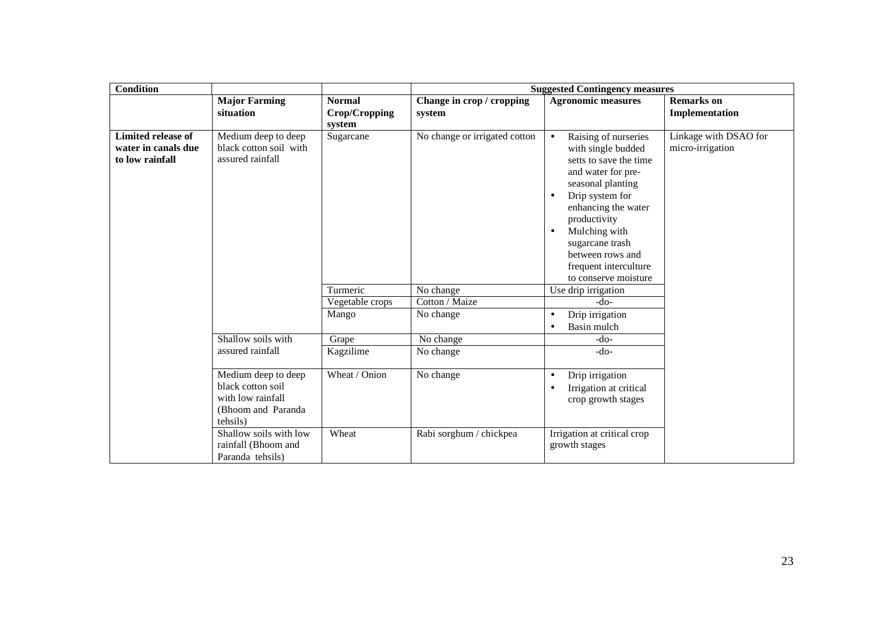| <b>Condition</b>                                                    |                                                                                                  |                                          | <b>Suggested Contingency measures</b> |                                                                                                                                                                                                                                                                                                                           |                                           |  |
|---------------------------------------------------------------------|--------------------------------------------------------------------------------------------------|------------------------------------------|---------------------------------------|---------------------------------------------------------------------------------------------------------------------------------------------------------------------------------------------------------------------------------------------------------------------------------------------------------------------------|-------------------------------------------|--|
|                                                                     | <b>Major Farming</b><br>situation                                                                | <b>Normal</b><br>Crop/Cropping<br>system | Change in crop / cropping<br>system   | <b>Agronomic measures</b>                                                                                                                                                                                                                                                                                                 | <b>Remarks</b> on<br>Implementation       |  |
| <b>Limited release of</b><br>water in canals due<br>to low rainfall | Medium deep to deep<br>black cotton soil with<br>assured rainfall                                | Sugarcane                                | No change or irrigated cotton         | Raising of nurseries<br>$\bullet$<br>with single budded<br>setts to save the time<br>and water for pre-<br>seasonal planting<br>Drip system for<br>$\bullet$<br>enhancing the water<br>productivity<br>Mulching with<br>$\bullet$<br>sugarcane trash<br>between rows and<br>frequent interculture<br>to conserve moisture | Linkage with DSAO for<br>micro-irrigation |  |
|                                                                     |                                                                                                  | Turmeric                                 | No change                             | Use drip irrigation                                                                                                                                                                                                                                                                                                       |                                           |  |
|                                                                     |                                                                                                  | Vegetable crops                          | Cotton / Maize                        | $-do-$                                                                                                                                                                                                                                                                                                                    |                                           |  |
|                                                                     |                                                                                                  | Mango                                    | No change                             | Drip irrigation<br>$\bullet$<br>Basin mulch<br>$\bullet$                                                                                                                                                                                                                                                                  |                                           |  |
|                                                                     | Shallow soils with                                                                               | Grape                                    | No change                             | $-do-$                                                                                                                                                                                                                                                                                                                    |                                           |  |
|                                                                     | assured rainfall                                                                                 | Kagzilime                                | No change                             | $-do-$                                                                                                                                                                                                                                                                                                                    |                                           |  |
|                                                                     | Medium deep to deep<br>black cotton soil<br>with low rainfall<br>(Bhoom and Paranda)<br>tehsils) | Wheat / Onion                            | No change                             | Drip irrigation<br>$\bullet$<br>Irrigation at critical<br>$\bullet$<br>crop growth stages                                                                                                                                                                                                                                 |                                           |  |
|                                                                     | Shallow soils with low<br>rainfall (Bhoom and<br>Paranda tehsils)                                | Wheat                                    | Rabi sorghum / chickpea               | Irrigation at critical crop<br>growth stages                                                                                                                                                                                                                                                                              |                                           |  |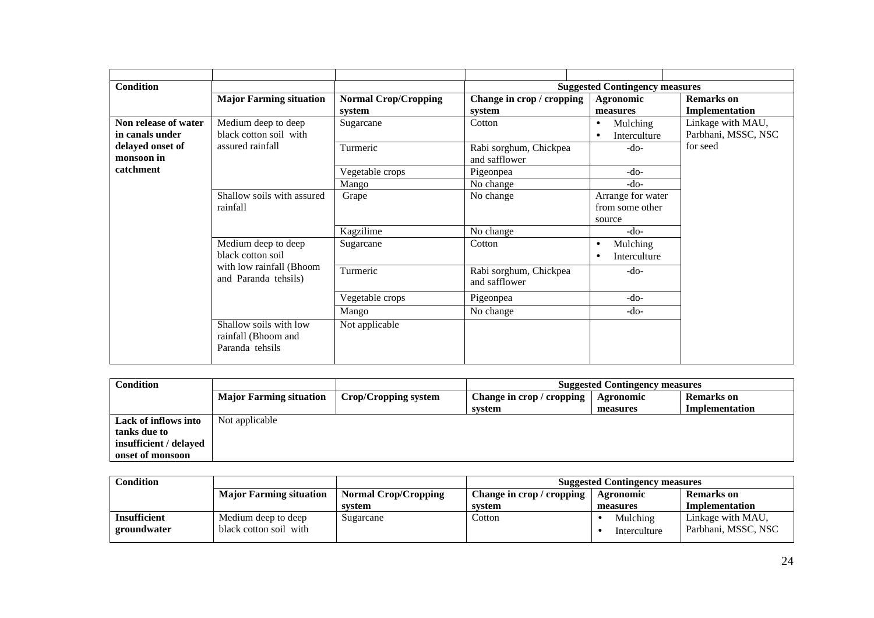| <b>Condition</b>     |                                                                  |                             |                           | <b>Suggested Contingency measures</b> |                     |
|----------------------|------------------------------------------------------------------|-----------------------------|---------------------------|---------------------------------------|---------------------|
|                      | <b>Major Farming situation</b>                                   | <b>Normal Crop/Cropping</b> | Change in crop / cropping | Agronomic                             | <b>Remarks</b> on   |
|                      |                                                                  | system                      | system                    | measures                              | Implementation      |
| Non release of water | Medium deep to deep                                              | Sugarcane                   | Cotton                    | Mulching<br>$\bullet$                 | Linkage with MAU,   |
| in canals under      | black cotton soil with                                           |                             |                           | Interculture                          | Parbhani, MSSC, NSC |
| delayed onset of     | assured rainfall                                                 | Turmeric                    | Rabi sorghum, Chickpea    | $-do-$                                | for seed            |
| monsoon in           |                                                                  |                             | and safflower             |                                       |                     |
| catchment            |                                                                  | Vegetable crops             | Pigeonpea                 | $-do-$                                |                     |
|                      |                                                                  | Mango                       | No change                 | -do-                                  |                     |
|                      | Shallow soils with assured<br>rainfall                           | Grape                       | No change                 | Arrange for water                     |                     |
|                      |                                                                  |                             |                           | from some other                       |                     |
|                      |                                                                  |                             |                           | source                                |                     |
|                      |                                                                  | Kagzilime                   | No change                 | $-do-$                                |                     |
|                      | Medium deep to deep                                              | Sugarcane                   | Cotton                    | Mulching<br>٠                         |                     |
|                      | black cotton soil<br>with low rainfall (Bhoom                    |                             |                           | Interculture<br>$\bullet$             |                     |
|                      |                                                                  | Turmeric                    | Rabi sorghum, Chickpea    | $-do-$                                |                     |
|                      | and Paranda tehsils)                                             |                             | and safflower             |                                       |                     |
|                      |                                                                  | Vegetable crops             | Pigeonpea                 | $-do-$                                |                     |
|                      |                                                                  | Mango                       | No change                 | $-do-$                                |                     |
|                      | Shallow soils with low<br>rainfall (Bhoom and<br>Paranda tehsils | Not applicable              |                           |                                       |                     |
|                      |                                                                  |                             |                           |                                       |                     |

| <b>Condition</b>       |                                |                      | <b>Suggested Contingency measures</b> |           |                   |
|------------------------|--------------------------------|----------------------|---------------------------------------|-----------|-------------------|
|                        | <b>Major Farming situation</b> | Crop/Cropping system | Change in crop / cropping             | Agronomic | <b>Remarks</b> on |
|                        |                                |                      | system                                | measures  | Implementation    |
| Lack of inflows into   | Not applicable                 |                      |                                       |           |                   |
| tanks due to           |                                |                      |                                       |           |                   |
| insufficient / delayed |                                |                      |                                       |           |                   |
| onset of monsoon       |                                |                      |                                       |           |                   |

| <b>Condition</b> |                                |                             | <b>Suggested Contingency measures</b> |              |                     |
|------------------|--------------------------------|-----------------------------|---------------------------------------|--------------|---------------------|
|                  | <b>Major Farming situation</b> | <b>Normal Crop/Cropping</b> | Change in crop / cropping             | Agronomic    | Remarks on          |
|                  |                                | system                      | system                                | measures     | Implementation      |
| Insufficient     | Medium deep to deep            | Sugarcane                   | Cotton                                | Mulching     | Linkage with MAU,   |
| groundwater      | black cotton soil with         |                             |                                       | Interculture | Parbhani, MSSC, NSC |
|                  |                                |                             |                                       |              |                     |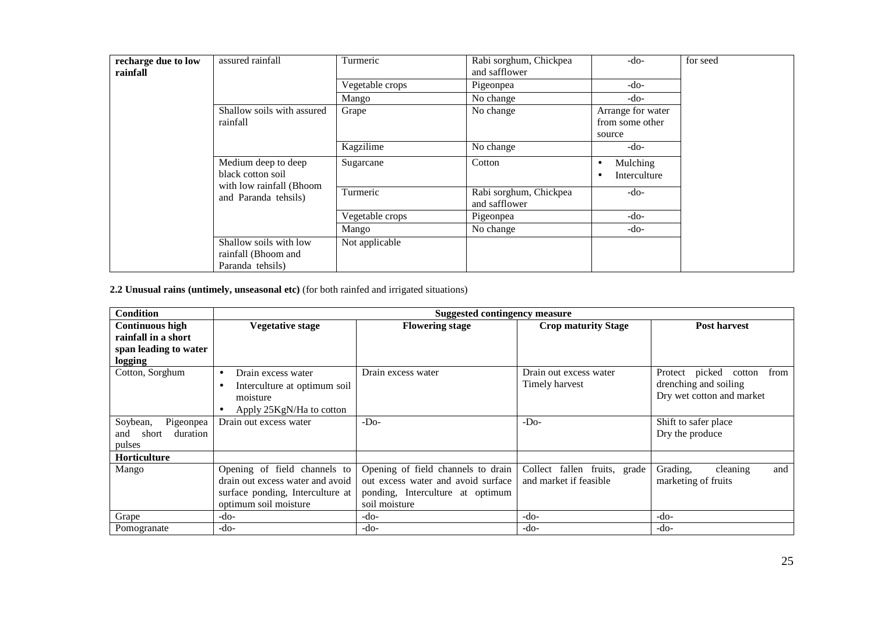| recharge due to low<br>rainfall | assured rainfall                                                                             | Turmeric        | Rabi sorghum, Chickpea<br>and safflower | $-do-$                                         | for seed |
|---------------------------------|----------------------------------------------------------------------------------------------|-----------------|-----------------------------------------|------------------------------------------------|----------|
|                                 |                                                                                              | Vegetable crops | Pigeonpea                               | $-do-$                                         |          |
|                                 |                                                                                              | Mango           | No change                               | $-do-$                                         |          |
|                                 | Shallow soils with assured<br>rainfall                                                       | Grape           | No change                               | Arrange for water<br>from some other<br>source |          |
|                                 |                                                                                              | Kagzilime       | No change                               | -do-                                           |          |
|                                 | Medium deep to deep<br>black cotton soil<br>with low rainfall (Bhoom<br>and Paranda tehsils) | Sugarcane       | Cotton                                  | Mulching<br>٠<br>Interculture<br>٠             |          |
|                                 |                                                                                              | Turmeric        | Rabi sorghum, Chickpea<br>and safflower | $-do-$                                         |          |
|                                 |                                                                                              | Vegetable crops | Pigeonpea                               | $-do-$                                         |          |
|                                 |                                                                                              | Mango           | No change                               | -do-                                           |          |
|                                 | Shallow soils with low<br>rainfall (Bhoom and<br>Paranda tehsils)                            | Not applicable  |                                         |                                                |          |

**2.2 Unusual rains (untimely, unseasonal etc)** (for both rainfed and irrigated situations)

| <b>Condition</b>         |                                       | <b>Suggested contingency measure</b> |                              |                                  |
|--------------------------|---------------------------------------|--------------------------------------|------------------------------|----------------------------------|
| <b>Continuous high</b>   | <b>Vegetative stage</b>               | <b>Flowering stage</b>               | <b>Crop maturity Stage</b>   | <b>Post harvest</b>              |
| rainfall in a short      |                                       |                                      |                              |                                  |
| span leading to water    |                                       |                                      |                              |                                  |
| logging                  |                                       |                                      |                              |                                  |
| Cotton, Sorghum          | Drain excess water<br>$\bullet$       | Drain excess water                   | Drain out excess water       | picked cotton<br>from<br>Protect |
|                          | Interculture at optimum soil<br>٠     |                                      | Timely harvest               | drenching and soiling            |
|                          | moisture                              |                                      |                              | Dry wet cotton and market        |
|                          | Apply 25KgN/Ha to cotton<br>$\bullet$ |                                      |                              |                                  |
| Soybean,<br>Pigeonpea    | Drain out excess water                | $-DO$                                | $-D0$                        | Shift to safer place             |
| duration<br>short<br>and |                                       |                                      |                              | Dry the produce                  |
| pulses                   |                                       |                                      |                              |                                  |
| Horticulture             |                                       |                                      |                              |                                  |
| Mango                    | Opening of field channels to          | Opening of field channels to drain   | Collect fallen fruits, grade | and<br>Grading,<br>cleaning      |
|                          | drain out excess water and avoid      | out excess water and avoid surface   | and market if feasible       | marketing of fruits              |
|                          | surface ponding, Interculture at      | ponding, Interculture at optimum     |                              |                                  |
|                          | optimum soil moisture                 | soil moisture                        |                              |                                  |
| Grape                    | $-do-$                                | $-do-$                               | $-do-$                       | $-do-$                           |
| Pomogranate              | $-do-$                                | $-do-$                               | $-do-$                       | $-do-$                           |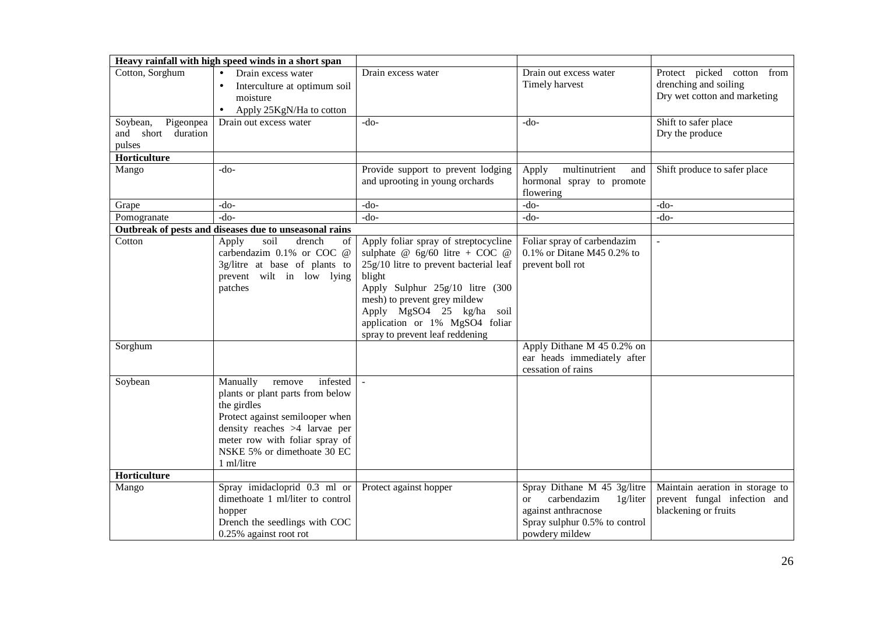|                       | Heavy rainfall with high speed winds in a short span          |                                          |                                        |                                 |
|-----------------------|---------------------------------------------------------------|------------------------------------------|----------------------------------------|---------------------------------|
| Cotton, Sorghum       | Drain excess water<br>$\bullet$                               | Drain excess water                       | Drain out excess water                 | Protect picked cotton from      |
|                       | Interculture at optimum soil                                  |                                          | Timely harvest                         | drenching and soiling           |
|                       | moisture                                                      |                                          |                                        | Dry wet cotton and marketing    |
|                       | Apply 25KgN/Ha to cotton                                      |                                          |                                        |                                 |
| Soybean,<br>Pigeonpea | Drain out excess water                                        | $-do-$                                   | -do-                                   | Shift to safer place            |
| and short<br>duration |                                                               |                                          |                                        | Dry the produce                 |
| pulses                |                                                               |                                          |                                        |                                 |
| Horticulture          |                                                               |                                          |                                        |                                 |
| Mango                 | -do-                                                          | Provide support to prevent lodging       | multinutrient<br>Apply<br>and          | Shift produce to safer place    |
|                       |                                                               | and uprooting in young orchards          | hormonal spray to promote<br>flowering |                                 |
| Grape                 | -do-                                                          | -do-                                     | $-do-$                                 | $-do-$                          |
| Pomogranate           | $-do-$                                                        | $-do-$                                   | $-do-$                                 | -do-                            |
|                       | Outbreak of pests and diseases due to unseasonal rains        |                                          |                                        |                                 |
| Cotton                | Apply<br>soil<br>drench<br>of 1                               | Apply foliar spray of streptocycline     | Foliar spray of carbendazim            | $\overline{a}$                  |
|                       | carbendazim 0.1% or COC @                                     | sulphate @ $6g/60$ litre + COC @         | $0.1\%$ or Ditane M45 0.2% to          |                                 |
|                       | 3g/litre at base of plants to                                 | $25g/10$ litre to prevent bacterial leaf | prevent boll rot                       |                                 |
|                       | prevent wilt in low lying                                     | blight                                   |                                        |                                 |
|                       | patches                                                       | Apply Sulphur 25g/10 litre (300          |                                        |                                 |
|                       |                                                               | mesh) to prevent grey mildew             |                                        |                                 |
|                       |                                                               | Apply MgSO4 25 kg/ha soil                |                                        |                                 |
|                       |                                                               | application or 1% MgSO4 foliar           |                                        |                                 |
|                       |                                                               | spray to prevent leaf reddening          |                                        |                                 |
| Sorghum               |                                                               |                                          | Apply Dithane M 45 0.2% on             |                                 |
|                       |                                                               |                                          | ear heads immediately after            |                                 |
|                       |                                                               |                                          | cessation of rains                     |                                 |
| Soybean               | infested<br>Manually<br>remove                                | $\sim$                                   |                                        |                                 |
|                       | plants or plant parts from below                              |                                          |                                        |                                 |
|                       | the girdles                                                   |                                          |                                        |                                 |
|                       | Protect against semilooper when                               |                                          |                                        |                                 |
|                       | density reaches >4 larvae per                                 |                                          |                                        |                                 |
|                       | meter row with foliar spray of<br>NSKE 5% or dimethoate 30 EC |                                          |                                        |                                 |
|                       | 1 ml/litre                                                    |                                          |                                        |                                 |
| Horticulture          |                                                               |                                          |                                        |                                 |
| Mango                 | Spray imidacloprid $0.3$ ml or                                | Protect against hopper                   | Spray Dithane M 45 3g/litre            | Maintain aeration in storage to |
|                       | dimethoate 1 ml/liter to control                              |                                          | carbendazim<br>1g/liter<br>or          | prevent fungal infection and    |
|                       | hopper                                                        |                                          | against anthracnose                    | blackening or fruits            |
|                       | Drench the seedlings with COC                                 |                                          | Spray sulphur 0.5% to control          |                                 |
|                       | 0.25% against root rot                                        |                                          | powdery mildew                         |                                 |
|                       |                                                               |                                          |                                        |                                 |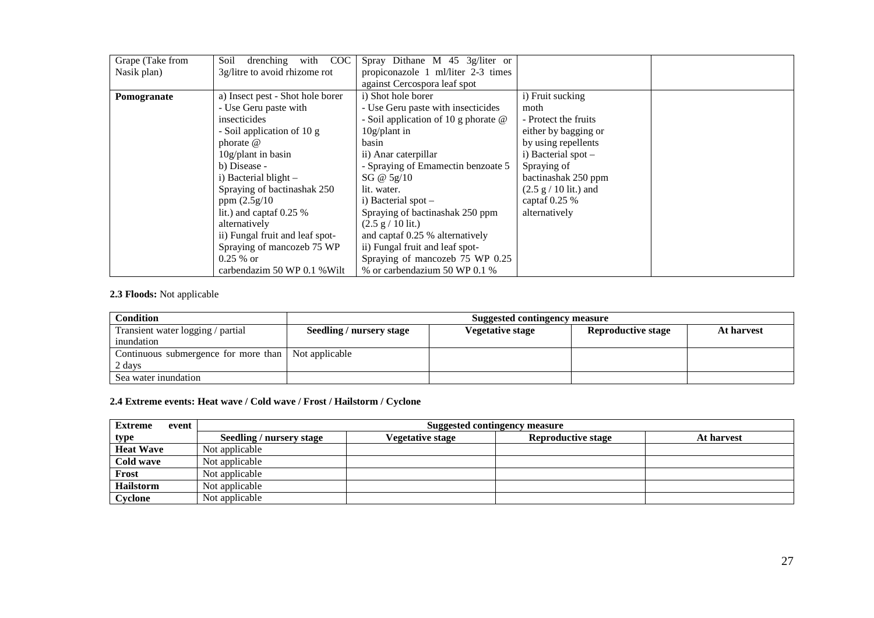| Grape (Take from | with COC<br>drenching<br>Soil    | Spray Dithane M $45 \frac{3g}{\text{liter}}$ or |                                         |  |
|------------------|----------------------------------|-------------------------------------------------|-----------------------------------------|--|
| Nasik plan)      | 3g/litre to avoid rhizome rot    | propiconazole 1 ml/liter 2-3 times              |                                         |  |
|                  |                                  | against Cercospora leaf spot                    |                                         |  |
| Pomogranate      | a) Insect pest - Shot hole borer | i) Shot hole borer                              | i) Fruit sucking                        |  |
|                  | - Use Geru paste with            | - Use Geru paste with insecticides              | moth                                    |  |
|                  | insecticides                     | - Soil application of 10 g phorate $@$          | - Protect the fruits                    |  |
|                  | - Soil application of 10 g       | $10g$ /plant in                                 | either by bagging or                    |  |
|                  | phorate $\omega$                 | basin                                           | by using repellents                     |  |
|                  | $10g$ /plant in basin            | ii) Anar caterpillar                            | i) Bacterial spot -                     |  |
|                  | b) Disease -                     | - Spraying of Emamectin benzoate 5              | Spraying of                             |  |
|                  | i) Bacterial blight $-$          | SG @ $5g/10$                                    | bactinashak 250 ppm                     |  |
|                  | Spraying of bactinashak 250      | lit. water.                                     | $(2.5 \text{ g} / 10 \text{ lit.})$ and |  |
|                  | ppm $(2.5g/10)$                  | i) Bacterial spot $-$                           | captaf $0.25%$                          |  |
|                  | lit.) and captaf $0.25\%$        | Spraying of bactinashak 250 ppm                 | alternatively                           |  |
|                  | alternatively                    | $(2.5 \text{ g} / 10 \text{ lit.})$             |                                         |  |
|                  | ii) Fungal fruit and leaf spot-  | and captaf 0.25 % alternatively                 |                                         |  |
|                  | Spraying of mancozeb 75 WP       | ii) Fungal fruit and leaf spot-                 |                                         |  |
|                  | $0.25 \%$ or                     | Spraying of mancozeb 75 WP 0.25                 |                                         |  |
|                  | carbendazim 50 WP 0.1 % Wilt     | % or carbendazium 50 WP 0.1 %                   |                                         |  |

## **2.3 Floods:** Not applicable

| <b>Condition</b>                                    |                          | <b>Suggested contingency measure</b> |                           |            |
|-----------------------------------------------------|--------------------------|--------------------------------------|---------------------------|------------|
| Transient water logging / partial                   | Seedling / nursery stage | Vegetative stage                     | <b>Reproductive stage</b> | At harvest |
| inundation                                          |                          |                                      |                           |            |
| Continuous submergence for more than Not applicable |                          |                                      |                           |            |
| 2 days                                              |                          |                                      |                           |            |
| Sea water inundation                                |                          |                                      |                           |            |

#### **2.4 Extreme events: Heat wave / Cold wave / Frost / Hailstorm / Cyclone**

| <b>Extreme</b><br>event | <b>Suggested contingency measure</b> |                  |                           |            |  |
|-------------------------|--------------------------------------|------------------|---------------------------|------------|--|
| type                    | <b>Seedling / nursery stage</b>      | Vegetative stage | <b>Reproductive stage</b> | At harvest |  |
| <b>Heat Wave</b>        | Not applicable                       |                  |                           |            |  |
| Cold wave               | Not applicable                       |                  |                           |            |  |
| Frost                   | Not applicable                       |                  |                           |            |  |
| Hailstorm               | Not applicable                       |                  |                           |            |  |
| Cyclone                 | Not applicable                       |                  |                           |            |  |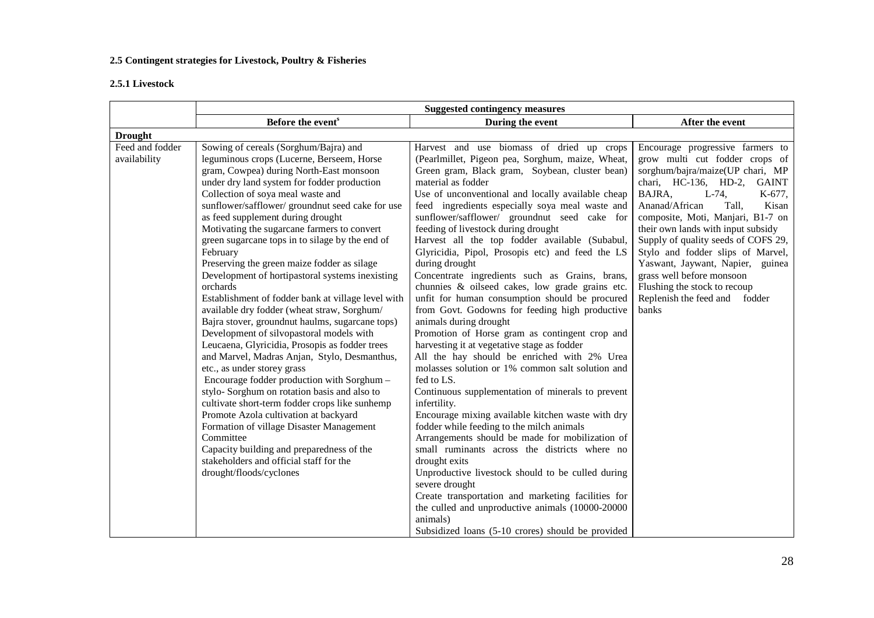## **2.5 Contingent strategies for Livestock, Poultry & Fisheries**

## **2.5.1 Livestock**

|                                 | <b>Suggested contingency measures</b>                                                                                                                                                                                                                                                                                                                                                                                                                                                                                                                                                                                                                                                                                                                                                                                                                                                                                                                                                                                                                                                                                                                                                                                                           |                                                                                                                                                                                                                                                                                                                                                                                                                                                                                                                                                                                                                                                                                                                                                                                                                                                                                                                                                                                                                                                                                                                                                                                                                                                                                                                                                                                                                                                                                                 |                                                                                                                                                                                                                                                                                                                                                                                                                                                                                                            |  |  |
|---------------------------------|-------------------------------------------------------------------------------------------------------------------------------------------------------------------------------------------------------------------------------------------------------------------------------------------------------------------------------------------------------------------------------------------------------------------------------------------------------------------------------------------------------------------------------------------------------------------------------------------------------------------------------------------------------------------------------------------------------------------------------------------------------------------------------------------------------------------------------------------------------------------------------------------------------------------------------------------------------------------------------------------------------------------------------------------------------------------------------------------------------------------------------------------------------------------------------------------------------------------------------------------------|-------------------------------------------------------------------------------------------------------------------------------------------------------------------------------------------------------------------------------------------------------------------------------------------------------------------------------------------------------------------------------------------------------------------------------------------------------------------------------------------------------------------------------------------------------------------------------------------------------------------------------------------------------------------------------------------------------------------------------------------------------------------------------------------------------------------------------------------------------------------------------------------------------------------------------------------------------------------------------------------------------------------------------------------------------------------------------------------------------------------------------------------------------------------------------------------------------------------------------------------------------------------------------------------------------------------------------------------------------------------------------------------------------------------------------------------------------------------------------------------------|------------------------------------------------------------------------------------------------------------------------------------------------------------------------------------------------------------------------------------------------------------------------------------------------------------------------------------------------------------------------------------------------------------------------------------------------------------------------------------------------------------|--|--|
|                                 | Before the event <sup>s</sup>                                                                                                                                                                                                                                                                                                                                                                                                                                                                                                                                                                                                                                                                                                                                                                                                                                                                                                                                                                                                                                                                                                                                                                                                                   | During the event                                                                                                                                                                                                                                                                                                                                                                                                                                                                                                                                                                                                                                                                                                                                                                                                                                                                                                                                                                                                                                                                                                                                                                                                                                                                                                                                                                                                                                                                                | After the event                                                                                                                                                                                                                                                                                                                                                                                                                                                                                            |  |  |
| <b>Drought</b>                  |                                                                                                                                                                                                                                                                                                                                                                                                                                                                                                                                                                                                                                                                                                                                                                                                                                                                                                                                                                                                                                                                                                                                                                                                                                                 |                                                                                                                                                                                                                                                                                                                                                                                                                                                                                                                                                                                                                                                                                                                                                                                                                                                                                                                                                                                                                                                                                                                                                                                                                                                                                                                                                                                                                                                                                                 |                                                                                                                                                                                                                                                                                                                                                                                                                                                                                                            |  |  |
| Feed and fodder<br>availability | Sowing of cereals (Sorghum/Bajra) and<br>leguminous crops (Lucerne, Berseem, Horse<br>gram, Cowpea) during North-East monsoon<br>under dry land system for fodder production<br>Collection of soya meal waste and<br>sunflower/safflower/ groundnut seed cake for use<br>as feed supplement during drought<br>Motivating the sugarcane farmers to convert<br>green sugarcane tops in to silage by the end of<br>February<br>Preserving the green maize fodder as silage<br>Development of hortipastoral systems inexisting<br>orchards<br>Establishment of fodder bank at village level with<br>available dry fodder (wheat straw, Sorghum/<br>Bajra stover, groundnut haulms, sugarcane tops)<br>Development of silvopastoral models with<br>Leucaena, Glyricidia, Prosopis as fodder trees<br>and Marvel, Madras Anjan, Stylo, Desmanthus,<br>etc., as under storey grass<br>Encourage fodder production with Sorghum -<br>stylo-Sorghum on rotation basis and also to<br>cultivate short-term fodder crops like sunhemp<br>Promote Azola cultivation at backyard<br>Formation of village Disaster Management<br>Committee<br>Capacity building and preparedness of the<br>stakeholders and official staff for the<br>drought/floods/cyclones | Harvest and use biomass of dried up crops<br>(Pearlmillet, Pigeon pea, Sorghum, maize, Wheat,<br>Green gram, Black gram, Soybean, cluster bean)<br>material as fodder<br>Use of unconventional and locally available cheap<br>feed ingredients especially soya meal waste and<br>sunflower/safflower/ groundnut seed cake for<br>feeding of livestock during drought<br>Harvest all the top fodder available (Subabul,<br>Glyricidia, Pipol, Prosopis etc) and feed the LS<br>during drought<br>Concentrate ingredients such as Grains, brans,<br>chunnies & oilseed cakes, low grade grains etc.<br>unfit for human consumption should be procured<br>from Govt. Godowns for feeding high productive<br>animals during drought<br>Promotion of Horse gram as contingent crop and<br>harvesting it at vegetative stage as fodder<br>All the hay should be enriched with 2% Urea<br>molasses solution or 1% common salt solution and<br>fed to LS.<br>Continuous supplementation of minerals to prevent<br>infertility.<br>Encourage mixing available kitchen waste with dry<br>fodder while feeding to the milch animals<br>Arrangements should be made for mobilization of<br>small ruminants across the districts where no<br>drought exits<br>Unproductive livestock should to be culled during<br>severe drought<br>Create transportation and marketing facilities for<br>the culled and unproductive animals (10000-20000<br>animals)<br>Subsidized loans (5-10 crores) should be provided | Encourage progressive farmers to<br>grow multi cut fodder crops of<br>sorghum/bajra/maize(UP chari, MP<br>chari, HC-136, HD-2, GAINT<br>BAJRA,<br>$L-74$ ,<br>K-677,<br>Ananad/African<br>Tall,<br>Kisan<br>composite, Moti, Manjari, B1-7 on<br>their own lands with input subsidy<br>Supply of quality seeds of COFS 29,<br>Stylo and fodder slips of Marvel,<br>Yaswant, Jaywant, Napier, guinea<br>grass well before monsoon<br>Flushing the stock to recoup<br>Replenish the feed and fodder<br>banks |  |  |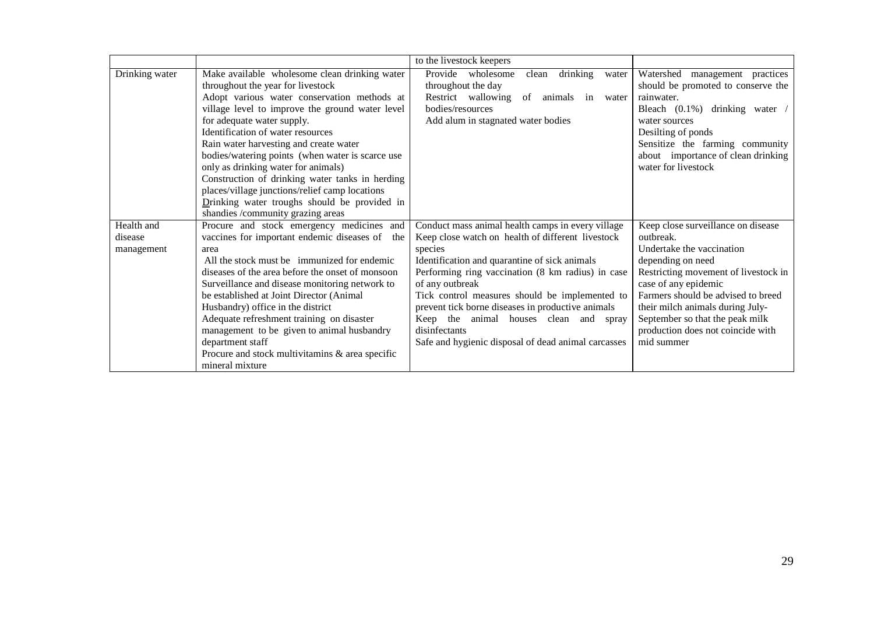|                |                                                   | to the livestock keepers                            |                                      |
|----------------|---------------------------------------------------|-----------------------------------------------------|--------------------------------------|
| Drinking water | Make available wholesome clean drinking water     | Provide wholesome<br>drinking<br>clean<br>water     | Watershed<br>management practices    |
|                | throughout the year for livestock                 | throughout the day                                  | should be promoted to conserve the   |
|                | Adopt various water conservation methods at       | Restrict wallowing of animals in<br>water           | rainwater.                           |
|                | village level to improve the ground water level   | bodies/resources                                    | Bleach $(0.1\%)$ drinking water /    |
|                | for adequate water supply.                        | Add alum in stagnated water bodies                  | water sources                        |
|                | Identification of water resources                 |                                                     | Desilting of ponds                   |
|                | Rain water harvesting and create water            |                                                     | Sensitize the farming community      |
|                | bodies/watering points (when water is scarce use  |                                                     | about importance of clean drinking   |
|                | only as drinking water for animals)               |                                                     | water for livestock                  |
|                | Construction of drinking water tanks in herding   |                                                     |                                      |
|                | places/village junctions/relief camp locations    |                                                     |                                      |
|                | Drinking water troughs should be provided in      |                                                     |                                      |
|                | shandies /community grazing areas                 |                                                     |                                      |
| Health and     | Procure and stock emergency medicines and         | Conduct mass animal health camps in every village   | Keep close surveillance on disease   |
| disease        | vaccines for important endemic diseases of<br>the | Keep close watch on health of different livestock   | outbreak.                            |
| management     | area                                              | species                                             | Undertake the vaccination            |
|                | All the stock must be immunized for endemic       | Identification and quarantine of sick animals       | depending on need                    |
|                | diseases of the area before the onset of monsoon  | Performing ring vaccination (8 km radius) in case   | Restricting movement of livestock in |
|                | Surveillance and disease monitoring network to    | of any outbreak                                     | case of any epidemic                 |
|                | be established at Joint Director (Animal          | Tick control measures should be implemented to      | Farmers should be advised to breed   |
|                | Husbandry) office in the district                 | prevent tick borne diseases in productive animals   | their milch animals during July-     |
|                | Adequate refreshment training on disaster         | Keep the animal houses clean and<br>spray           | September so that the peak milk      |
|                | management to be given to animal husbandry        | disinfectants                                       | production does not coincide with    |
|                | department staff                                  | Safe and hygienic disposal of dead animal carcasses | mid summer                           |
|                | Procure and stock multivitamins & area specific   |                                                     |                                      |
|                | mineral mixture                                   |                                                     |                                      |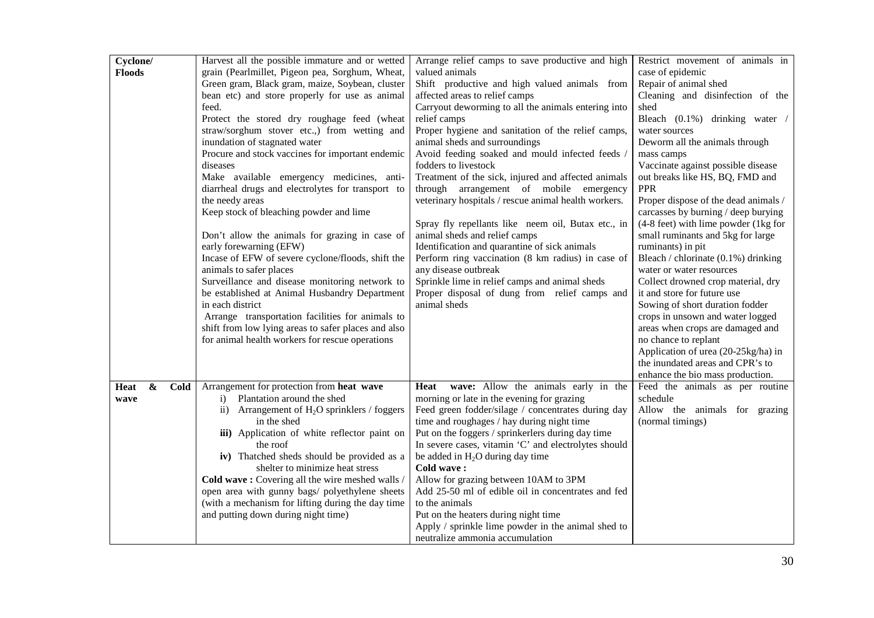| Cyclone/                          | Harvest all the possible immature and or wetted                   | Arrange relief camps to save productive and high              | Restrict movement of animals in                                |
|-----------------------------------|-------------------------------------------------------------------|---------------------------------------------------------------|----------------------------------------------------------------|
| <b>Floods</b>                     | grain (Pearlmillet, Pigeon pea, Sorghum, Wheat,                   | valued animals                                                | case of epidemic                                               |
|                                   | Green gram, Black gram, maize, Soybean, cluster                   | Shift productive and high valued animals from                 | Repair of animal shed                                          |
|                                   | bean etc) and store properly for use as animal                    | affected areas to relief camps                                | Cleaning and disinfection of the                               |
|                                   | feed.                                                             | Carryout deworming to all the animals entering into           | shed                                                           |
|                                   | Protect the stored dry roughage feed (wheat                       | relief camps                                                  | Bleach (0.1%) drinking water /                                 |
|                                   | straw/sorghum stover etc.,) from wetting and                      | Proper hygiene and sanitation of the relief camps,            | water sources                                                  |
|                                   | inundation of stagnated water                                     | animal sheds and surroundings                                 | Deworm all the animals through                                 |
|                                   | Procure and stock vaccines for important endemic                  | Avoid feeding soaked and mould infected feeds /               | mass camps                                                     |
|                                   | diseases                                                          | fodders to livestock                                          | Vaccinate against possible disease                             |
|                                   | Make available emergency medicines, anti-                         | Treatment of the sick, injured and affected animals           | out breaks like HS, BQ, FMD and                                |
|                                   | diarrheal drugs and electrolytes for transport to                 | through arrangement of mobile emergency                       | <b>PPR</b>                                                     |
|                                   | the needy areas                                                   | veterinary hospitals / rescue animal health workers.          | Proper dispose of the dead animals /                           |
|                                   | Keep stock of bleaching powder and lime                           |                                                               | carcasses by burning / deep burying                            |
|                                   |                                                                   | Spray fly repellants like neem oil, Butax etc., in            | $(4-8$ feet) with lime powder $(1kg$ for                       |
|                                   | Don't allow the animals for grazing in case of                    | animal sheds and relief camps                                 | small ruminants and 5kg for large                              |
|                                   | early forewarning (EFW)                                           | Identification and quarantine of sick animals                 | ruminants) in pit                                              |
|                                   | Incase of EFW of severe cyclone/floods, shift the                 | Perform ring vaccination (8 km radius) in case of             | Bleach / chlorinate (0.1%) drinking                            |
|                                   | animals to safer places                                           | any disease outbreak                                          | water or water resources                                       |
|                                   | Surveillance and disease monitoring network to                    | Sprinkle lime in relief camps and animal sheds                | Collect drowned crop material, dry                             |
|                                   | be established at Animal Husbandry Department<br>in each district | Proper disposal of dung from relief camps and<br>animal sheds | it and store for future use<br>Sowing of short duration fodder |
|                                   | Arrange transportation facilities for animals to                  |                                                               | crops in unsown and water logged                               |
|                                   | shift from low lying areas to safer places and also               |                                                               | areas when crops are damaged and                               |
|                                   | for animal health workers for rescue operations                   |                                                               | no chance to replant                                           |
|                                   |                                                                   |                                                               | Application of urea (20-25kg/ha) in                            |
|                                   |                                                                   |                                                               | the inundated areas and CPR's to                               |
|                                   |                                                                   |                                                               | enhance the bio mass production.                               |
| $\boldsymbol{\&}$<br>Cold<br>Heat | Arrangement for protection from heat wave                         | wave: Allow the animals early in the<br>Heat                  | Feed the animals as per routine                                |
| wave                              | Plantation around the shed<br>i)                                  | morning or late in the evening for grazing                    | schedule                                                       |
|                                   | ii) Arrangement of $H_2O$ sprinklers / foggers                    | Feed green fodder/silage / concentrates during day            | Allow the animals for grazing                                  |
|                                   | in the shed                                                       | time and roughages / hay during night time                    | (normal timings)                                               |
|                                   | iii) Application of white reflector paint on                      | Put on the foggers / sprinkerlers during day time             |                                                                |
|                                   | the roof                                                          | In severe cases, vitamin 'C' and electrolytes should          |                                                                |
|                                   | iv) Thatched sheds should be provided as a                        | be added in $H_2O$ during day time                            |                                                                |
|                                   | shelter to minimize heat stress                                   | Cold wave:                                                    |                                                                |
|                                   | Cold wave: Covering all the wire meshed walls /                   | Allow for grazing between 10AM to 3PM                         |                                                                |
|                                   | open area with gunny bags/ polyethylene sheets                    | Add 25-50 ml of edible oil in concentrates and fed            |                                                                |
|                                   | (with a mechanism for lifting during the day time                 | to the animals                                                |                                                                |
|                                   | and putting down during night time)                               | Put on the heaters during night time                          |                                                                |
|                                   |                                                                   | Apply / sprinkle lime powder in the animal shed to            |                                                                |
|                                   |                                                                   | neutralize ammonia accumulation                               |                                                                |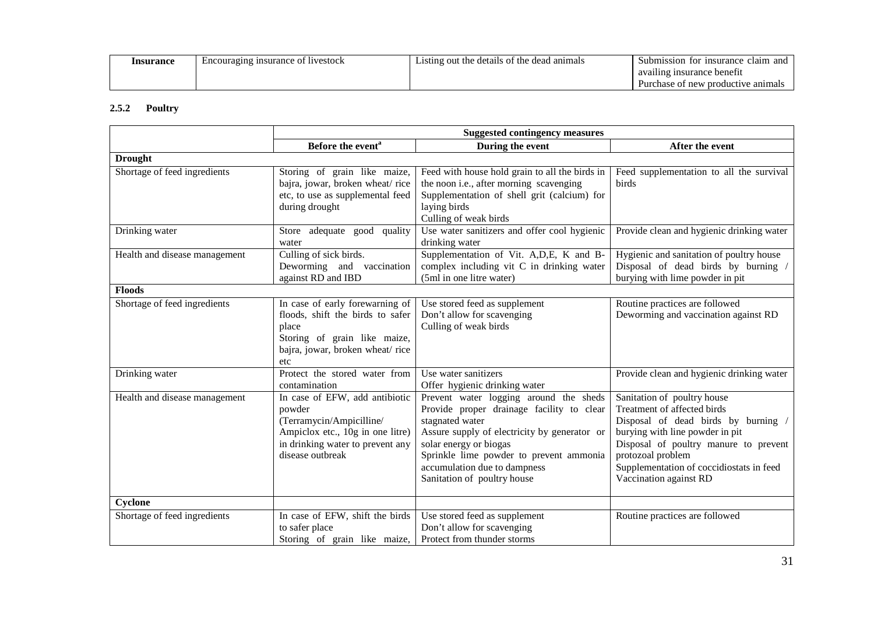| Insurance | of livestock<br>nsurance!<br>Encouraging | dead animals<br>the<br>details of<br>the<br>.1sting<br>out | claim<br>and<br><i>s</i> insurance<br>Submission<br><b>TOT</b> |
|-----------|------------------------------------------|------------------------------------------------------------|----------------------------------------------------------------|
|           |                                          |                                                            | n insurance benefit<br>availing                                |
|           |                                          |                                                            | Purchase of new productive<br>anımals                          |

## **2.5.2 Poultry**

|                               | <b>Suggested contingency measures</b>                                                                                                                            |                                                                                                                                                                                                                                                                                            |                                                                                                                                                                                                                                                                          |
|-------------------------------|------------------------------------------------------------------------------------------------------------------------------------------------------------------|--------------------------------------------------------------------------------------------------------------------------------------------------------------------------------------------------------------------------------------------------------------------------------------------|--------------------------------------------------------------------------------------------------------------------------------------------------------------------------------------------------------------------------------------------------------------------------|
|                               | Before the event <sup>a</sup>                                                                                                                                    | During the event                                                                                                                                                                                                                                                                           | After the event                                                                                                                                                                                                                                                          |
| <b>Drought</b>                |                                                                                                                                                                  |                                                                                                                                                                                                                                                                                            |                                                                                                                                                                                                                                                                          |
| Shortage of feed ingredients  | Storing of grain like maize,<br>bajra, jowar, broken wheat/rice<br>etc, to use as supplemental feed<br>during drought                                            | Feed with house hold grain to all the birds in<br>the noon i.e., after morning scavenging<br>Supplementation of shell grit (calcium) for<br>laying birds<br>Culling of weak birds                                                                                                          | Feed supplementation to all the survival<br>birds                                                                                                                                                                                                                        |
| Drinking water                | Store adequate good quality<br>water                                                                                                                             | Use water sanitizers and offer cool hygienic<br>drinking water                                                                                                                                                                                                                             | Provide clean and hygienic drinking water                                                                                                                                                                                                                                |
| Health and disease management | Culling of sick birds.<br>Deworming and vaccination<br>against RD and IBD                                                                                        | Supplementation of Vit. A, D, E, K and B-<br>complex including vit C in drinking water<br>(5ml in one litre water)                                                                                                                                                                         | Hygienic and sanitation of poultry house<br>Disposal of dead birds by burning /<br>burying with lime powder in pit                                                                                                                                                       |
| <b>Floods</b>                 |                                                                                                                                                                  |                                                                                                                                                                                                                                                                                            |                                                                                                                                                                                                                                                                          |
| Shortage of feed ingredients  | In case of early forewarning of<br>floods, shift the birds to safer<br>place<br>Storing of grain like maize,<br>bajra, jowar, broken wheat/rice<br>etc           | Use stored feed as supplement<br>Don't allow for scavenging<br>Culling of weak birds                                                                                                                                                                                                       | Routine practices are followed<br>Deworming and vaccination against RD                                                                                                                                                                                                   |
| Drinking water                | Protect the stored water from<br>contamination                                                                                                                   | Use water sanitizers<br>Offer hygienic drinking water                                                                                                                                                                                                                                      | Provide clean and hygienic drinking water                                                                                                                                                                                                                                |
| Health and disease management | In case of EFW, add antibiotic<br>powder<br>(Terramycin/Ampicilline/<br>Ampiclox etc., 10g in one litre)<br>in drinking water to prevent any<br>disease outbreak | Prevent water logging around the sheds<br>Provide proper drainage facility to clear<br>stagnated water<br>Assure supply of electricity by generator or<br>solar energy or biogas<br>Sprinkle lime powder to prevent ammonia<br>accumulation due to dampness<br>Sanitation of poultry house | Sanitation of poultry house<br>Treatment of affected birds<br>Disposal of dead birds by burning /<br>burying with line powder in pit<br>Disposal of poultry manure to prevent<br>protozoal problem<br>Supplementation of coccidiostats in feed<br>Vaccination against RD |
| Cyclone                       |                                                                                                                                                                  |                                                                                                                                                                                                                                                                                            |                                                                                                                                                                                                                                                                          |
| Shortage of feed ingredients  | In case of EFW, shift the birds<br>to safer place<br>Storing of grain like maize,                                                                                | Use stored feed as supplement<br>Don't allow for scavenging<br>Protect from thunder storms                                                                                                                                                                                                 | Routine practices are followed                                                                                                                                                                                                                                           |